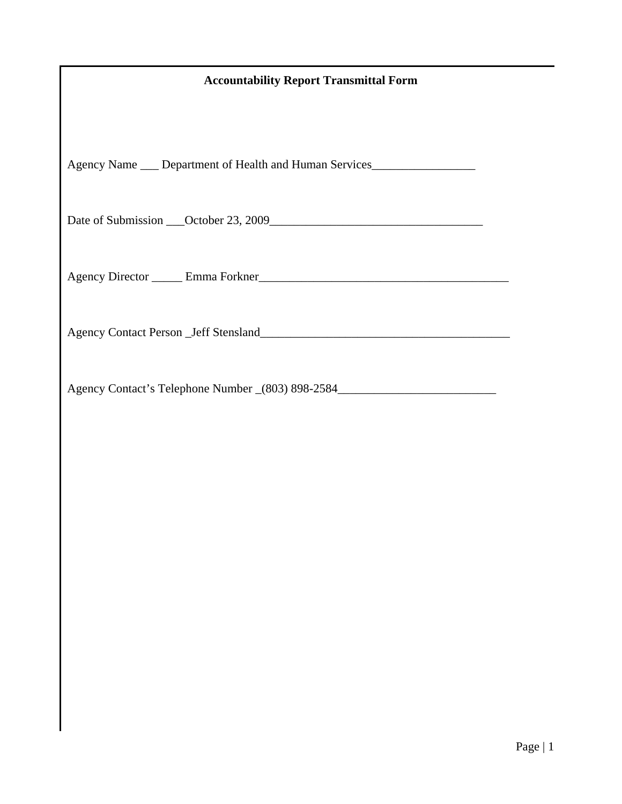# **Accountability Report Transmittal Form**

Agency Name \_\_\_ Department of Health and Human Services\_\_\_\_\_\_\_\_\_\_\_\_\_\_\_\_\_\_\_\_\_\_\_\_\_

Date of Submission \_\_\_October 23, 2009\_\_\_\_\_\_\_\_\_\_\_\_\_\_\_\_\_\_\_\_\_\_\_\_\_\_\_\_\_\_\_\_\_\_\_

Agency Director \_\_\_\_\_ Emma Forkner\_\_\_\_\_\_\_\_\_\_\_\_\_\_\_\_\_\_\_\_\_\_\_\_\_\_\_\_\_\_\_\_\_\_\_\_\_\_\_\_\_

Agency Contact Person \_Jeff Stensland\_\_\_\_\_\_\_\_\_\_\_\_\_\_\_\_\_\_\_\_\_\_\_\_\_\_\_\_\_\_\_\_\_\_\_\_\_\_\_\_\_

Agency Contact's Telephone Number \_(803) 898-2584\_\_\_\_\_\_\_\_\_\_\_\_\_\_\_\_\_\_\_\_\_\_\_\_\_\_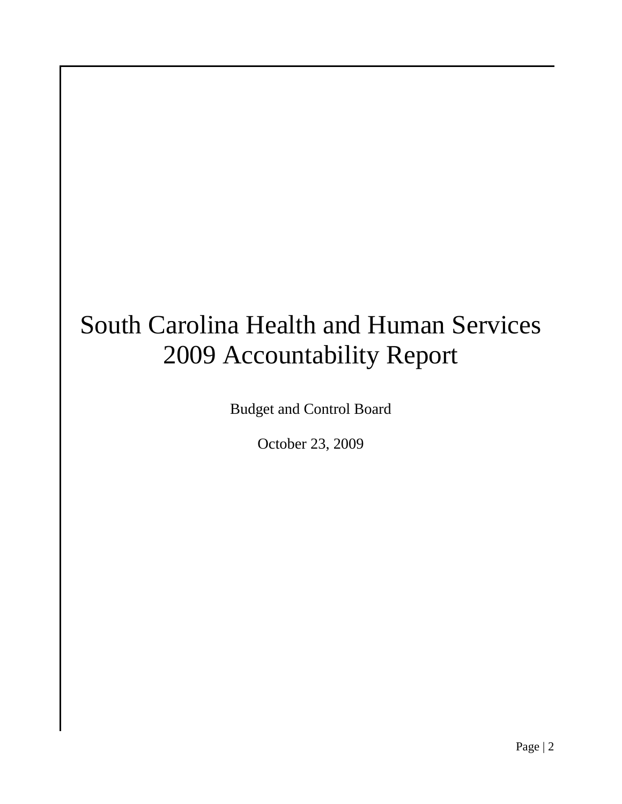# South Carolina Health and Human Services 2009 Accountability Report

Budget and Control Board

October 23, 2009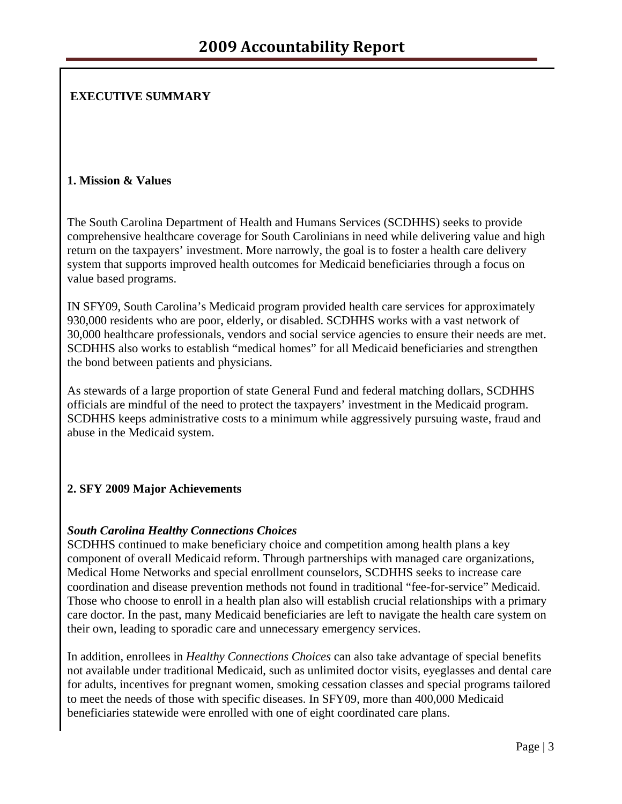# **EXECUTIVE SUMMARY**

#### **1. Mission & Values**

The South Carolina Department of Health and Humans Services (SCDHHS) seeks to provide comprehensive healthcare coverage for South Carolinians in need while delivering value and high return on the taxpayers' investment. More narrowly, the goal is to foster a health care delivery system that supports improved health outcomes for Medicaid beneficiaries through a focus on value based programs.

IN SFY09, South Carolina's Medicaid program provided health care services for approximately 930,000 residents who are poor, elderly, or disabled. SCDHHS works with a vast network of 30,000 healthcare professionals, vendors and social service agencies to ensure their needs are met. SCDHHS also works to establish "medical homes" for all Medicaid beneficiaries and strengthen the bond between patients and physicians.

As stewards of a large proportion of state General Fund and federal matching dollars, SCDHHS officials are mindful of the need to protect the taxpayers' investment in the Medicaid program. SCDHHS keeps administrative costs to a minimum while aggressively pursuing waste, fraud and abuse in the Medicaid system.

# **2. SFY 2009 Major Achievements**

#### *South Carolina Healthy Connections Choices*

SCDHHS continued to make beneficiary choice and competition among health plans a key component of overall Medicaid reform. Through partnerships with managed care organizations, Medical Home Networks and special enrollment counselors, SCDHHS seeks to increase care coordination and disease prevention methods not found in traditional "fee-for-service" Medicaid. Those who choose to enroll in a health plan also will establish crucial relationships with a primary care doctor. In the past, many Medicaid beneficiaries are left to navigate the health care system on their own, leading to sporadic care and unnecessary emergency services.

In addition, enrollees in *Healthy Connections Choices* can also take advantage of special benefits not available under traditional Medicaid, such as unlimited doctor visits, eyeglasses and dental care for adults, incentives for pregnant women, smoking cessation classes and special programs tailored to meet the needs of those with specific diseases. In SFY09, more than 400,000 Medicaid beneficiaries statewide were enrolled with one of eight coordinated care plans.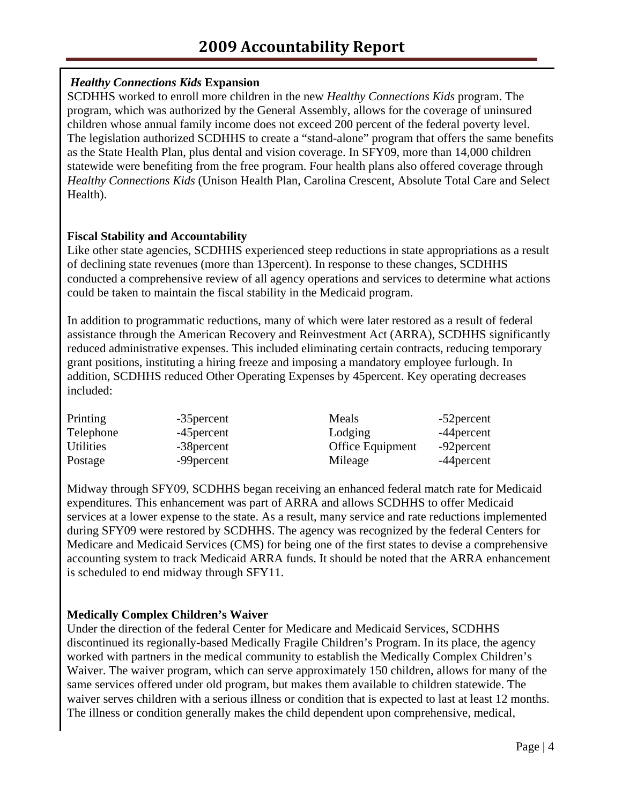# *Healthy Connections Kids* **Expansion**

SCDHHS worked to enroll more children in the new *Healthy Connections Kids* program. The program, which was authorized by the General Assembly, allows for the coverage of uninsured children whose annual family income does not exceed 200 percent of the federal poverty level. The legislation authorized SCDHHS to create a "stand-alone" program that offers the same benefits as the State Health Plan, plus dental and vision coverage. In SFY09, more than 14,000 children statewide were benefiting from the free program. Four health plans also offered coverage through *Healthy Connections Kids* (Unison Health Plan, Carolina Crescent, Absolute Total Care and Select Health).

# **Fiscal Stability and Accountability**

Like other state agencies, SCDHHS experienced steep reductions in state appropriations as a result of declining state revenues (more than 13percent). In response to these changes, SCDHHS conducted a comprehensive review of all agency operations and services to determine what actions could be taken to maintain the fiscal stability in the Medicaid program.

In addition to programmatic reductions, many of which were later restored as a result of federal assistance through the American Recovery and Reinvestment Act (ARRA), SCDHHS significantly reduced administrative expenses. This included eliminating certain contracts, reducing temporary grant positions, instituting a hiring freeze and imposing a mandatory employee furlough. In addition, SCDHHS reduced Other Operating Expenses by 45percent. Key operating decreases included:

| Printing         | -35 percent | Meals                   | -52 percent |
|------------------|-------------|-------------------------|-------------|
| Telephone        | -45 percent | Lodging                 | -44 percent |
| <b>Utilities</b> | -38 percent | <b>Office Equipment</b> | -92 percent |
| Postage          | -99 percent | Mileage                 | -44 percent |

Midway through SFY09, SCDHHS began receiving an enhanced federal match rate for Medicaid expenditures. This enhancement was part of ARRA and allows SCDHHS to offer Medicaid services at a lower expense to the state. As a result, many service and rate reductions implemented during SFY09 were restored by SCDHHS. The agency was recognized by the federal Centers for Medicare and Medicaid Services (CMS) for being one of the first states to devise a comprehensive accounting system to track Medicaid ARRA funds. It should be noted that the ARRA enhancement is scheduled to end midway through SFY11.

# **Medically Complex Children's Waiver**

Under the direction of the federal Center for Medicare and Medicaid Services, SCDHHS discontinued its regionally-based Medically Fragile Children's Program. In its place, the agency worked with partners in the medical community to establish the Medically Complex Children's Waiver. The waiver program, which can serve approximately 150 children, allows for many of the same services offered under old program, but makes them available to children statewide. The waiver serves children with a serious illness or condition that is expected to last at least 12 months. The illness or condition generally makes the child dependent upon comprehensive, medical,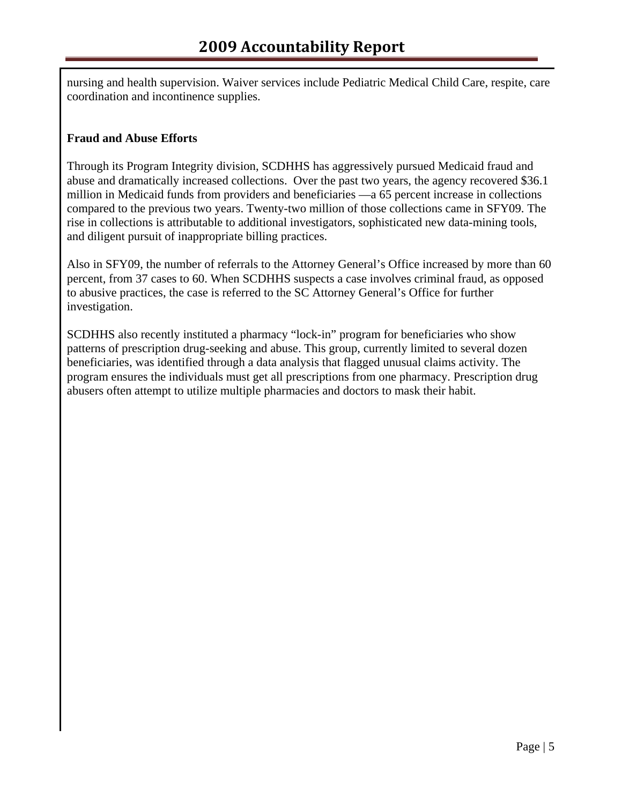nursing and health supervision. Waiver services include Pediatric Medical Child Care, respite, care coordination and incontinence supplies.

#### **Fraud and Abuse Efforts**

Through its Program Integrity division, SCDHHS has aggressively pursued Medicaid fraud and abuse and dramatically increased collections. Over the past two years, the agency recovered \$36.1 million in Medicaid funds from providers and beneficiaries —a 65 percent increase in collections compared to the previous two years. Twenty-two million of those collections came in SFY09. The rise in collections is attributable to additional investigators, sophisticated new data-mining tools, and diligent pursuit of inappropriate billing practices.

Also in SFY09, the number of referrals to the Attorney General's Office increased by more than 60 percent, from 37 cases to 60. When SCDHHS suspects a case involves criminal fraud, as opposed to abusive practices, the case is referred to the SC Attorney General's Office for further investigation.

SCDHHS also recently instituted a pharmacy "lock-in" program for beneficiaries who show patterns of prescription drug-seeking and abuse. This group, currently limited to several dozen beneficiaries, was identified through a data analysis that flagged unusual claims activity. The program ensures the individuals must get all prescriptions from one pharmacy. Prescription drug abusers often attempt to utilize multiple pharmacies and doctors to mask their habit.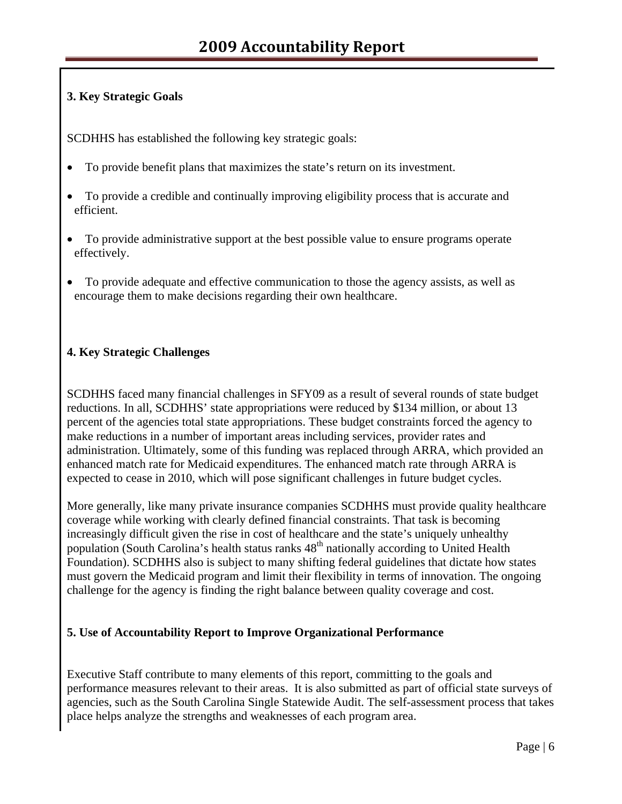# **3. Key Strategic Goals**

SCDHHS has established the following key strategic goals:

- To provide benefit plans that maximizes the state's return on its investment.
- To provide a credible and continually improving eligibility process that is accurate and efficient.
- To provide administrative support at the best possible value to ensure programs operate effectively.
- To provide adequate and effective communication to those the agency assists, as well as encourage them to make decisions regarding their own healthcare.

# **4. Key Strategic Challenges**

SCDHHS faced many financial challenges in SFY09 as a result of several rounds of state budget reductions. In all, SCDHHS' state appropriations were reduced by \$134 million, or about 13 percent of the agencies total state appropriations. These budget constraints forced the agency to make reductions in a number of important areas including services, provider rates and administration. Ultimately, some of this funding was replaced through ARRA, which provided an enhanced match rate for Medicaid expenditures. The enhanced match rate through ARRA is expected to cease in 2010, which will pose significant challenges in future budget cycles.

More generally, like many private insurance companies SCDHHS must provide quality healthcare coverage while working with clearly defined financial constraints. That task is becoming increasingly difficult given the rise in cost of healthcare and the state's uniquely unhealthy population (South Carolina's health status ranks  $48<sup>th</sup>$  nationally according to United Health Foundation). SCDHHS also is subject to many shifting federal guidelines that dictate how states must govern the Medicaid program and limit their flexibility in terms of innovation. The ongoing challenge for the agency is finding the right balance between quality coverage and cost.

# **5. Use of Accountability Report to Improve Organizational Performance**

Executive Staff contribute to many elements of this report, committing to the goals and performance measures relevant to their areas. It is also submitted as part of official state surveys of agencies, such as the South Carolina Single Statewide Audit. The self-assessment process that takes place helps analyze the strengths and weaknesses of each program area.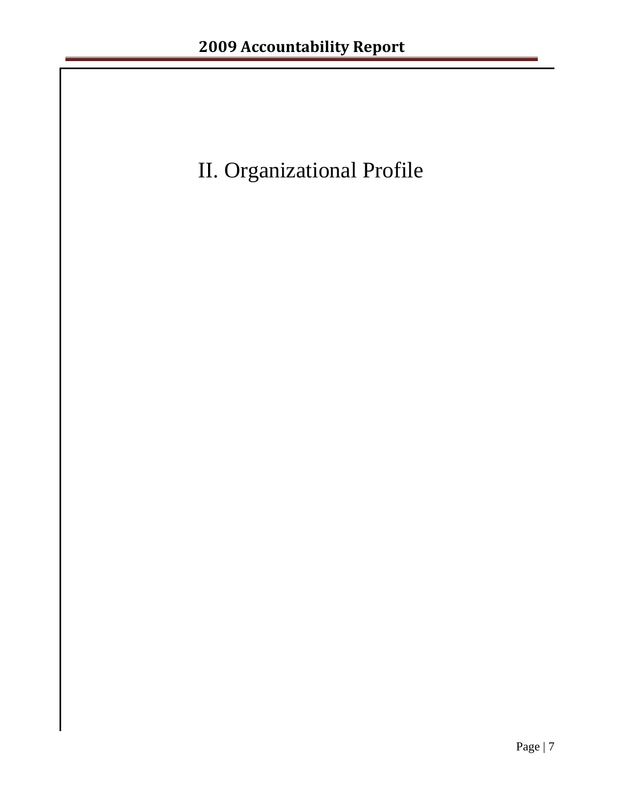# II. Organizational Profile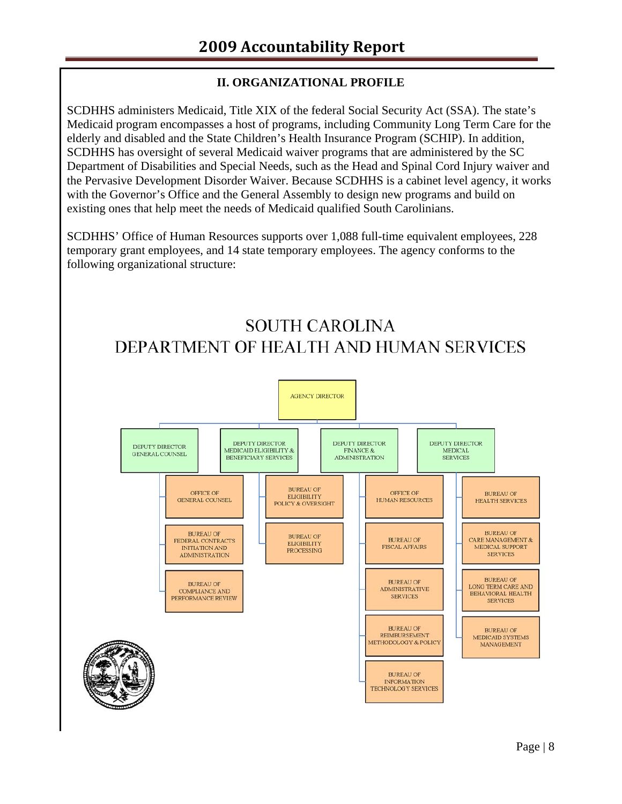# **II. ORGANIZATIONAL PROFILE**

SCDHHS administers Medicaid, Title XIX of the federal Social Security Act (SSA). The state's Medicaid program encompasses a host of programs, including Community Long Term Care for the elderly and disabled and the State Children's Health Insurance Program (SCHIP). In addition, SCDHHS has oversight of several Medicaid waiver programs that are administered by the SC Department of Disabilities and Special Needs, such as the Head and Spinal Cord Injury waiver and the Pervasive Development Disorder Waiver. Because SCDHHS is a cabinet level agency, it works with the Governor's Office and the General Assembly to design new programs and build on existing ones that help meet the needs of Medicaid qualified South Carolinians.

SCDHHS' Office of Human Resources supports over 1,088 full-time equivalent employees, 228 temporary grant employees, and 14 state temporary employees. The agency conforms to the following organizational structure:



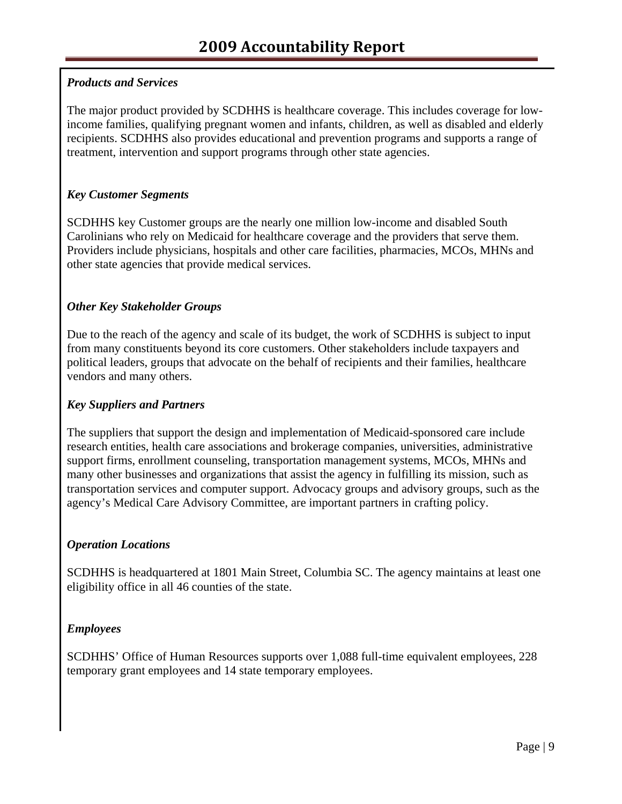# *Products and Services*

The major product provided by SCDHHS is healthcare coverage. This includes coverage for lowincome families, qualifying pregnant women and infants, children, as well as disabled and elderly recipients. SCDHHS also provides educational and prevention programs and supports a range of treatment, intervention and support programs through other state agencies.

# *Key Customer Segments*

SCDHHS key Customer groups are the nearly one million low-income and disabled South Carolinians who rely on Medicaid for healthcare coverage and the providers that serve them. Providers include physicians, hospitals and other care facilities, pharmacies, MCOs, MHNs and other state agencies that provide medical services.

# *Other Key Stakeholder Groups*

Due to the reach of the agency and scale of its budget, the work of SCDHHS is subject to input from many constituents beyond its core customers. Other stakeholders include taxpayers and political leaders, groups that advocate on the behalf of recipients and their families, healthcare vendors and many others.

#### *Key Suppliers and Partners*

The suppliers that support the design and implementation of Medicaid-sponsored care include research entities, health care associations and brokerage companies, universities, administrative support firms, enrollment counseling, transportation management systems, MCOs, MHNs and many other businesses and organizations that assist the agency in fulfilling its mission, such as transportation services and computer support. Advocacy groups and advisory groups, such as the agency's Medical Care Advisory Committee, are important partners in crafting policy.

# *Operation Locations*

SCDHHS is headquartered at 1801 Main Street, Columbia SC. The agency maintains at least one eligibility office in all 46 counties of the state.

# *Employees*

SCDHHS' Office of Human Resources supports over 1,088 full-time equivalent employees, 228 temporary grant employees and 14 state temporary employees.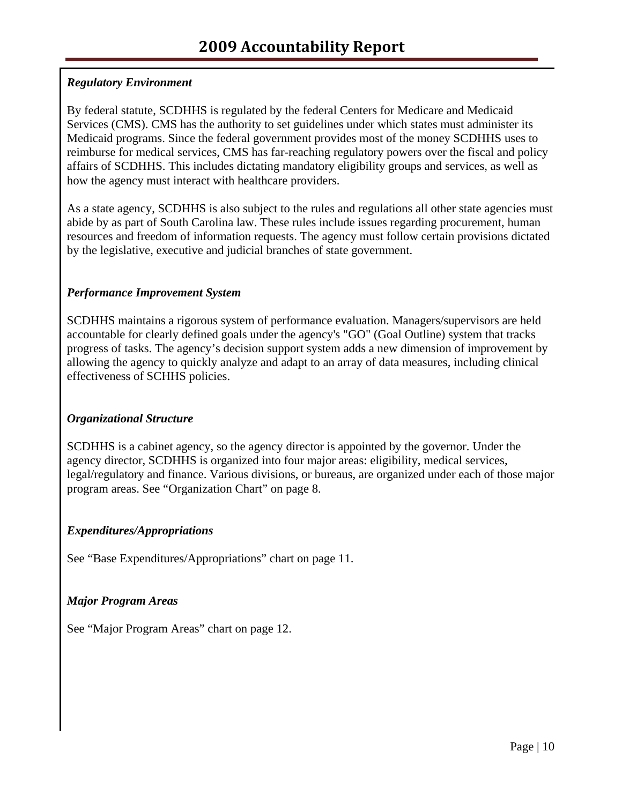# *Regulatory Environment*

By federal statute, SCDHHS is regulated by the federal Centers for Medicare and Medicaid Services (CMS). CMS has the authority to set guidelines under which states must administer its Medicaid programs. Since the federal government provides most of the money SCDHHS uses to reimburse for medical services, CMS has far-reaching regulatory powers over the fiscal and policy affairs of SCDHHS. This includes dictating mandatory eligibility groups and services, as well as how the agency must interact with healthcare providers.

As a state agency, SCDHHS is also subject to the rules and regulations all other state agencies must abide by as part of South Carolina law. These rules include issues regarding procurement, human resources and freedom of information requests. The agency must follow certain provisions dictated by the legislative, executive and judicial branches of state government.

# *Performance Improvement System*

SCDHHS maintains a rigorous system of performance evaluation. Managers/supervisors are held accountable for clearly defined goals under the agency's "GO" (Goal Outline) system that tracks progress of tasks. The agency's decision support system adds a new dimension of improvement by allowing the agency to quickly analyze and adapt to an array of data measures, including clinical effectiveness of SCHHS policies.

# *Organizational Structure*

SCDHHS is a cabinet agency, so the agency director is appointed by the governor. Under the agency director, SCDHHS is organized into four major areas: eligibility, medical services, legal/regulatory and finance. Various divisions, or bureaus, are organized under each of those major program areas. See "Organization Chart" on page 8.

#### *Expenditures/Appropriations*

See "Base Expenditures/Appropriations" chart on page 11.

# *Major Program Areas*

See "Major Program Areas" chart on page 12.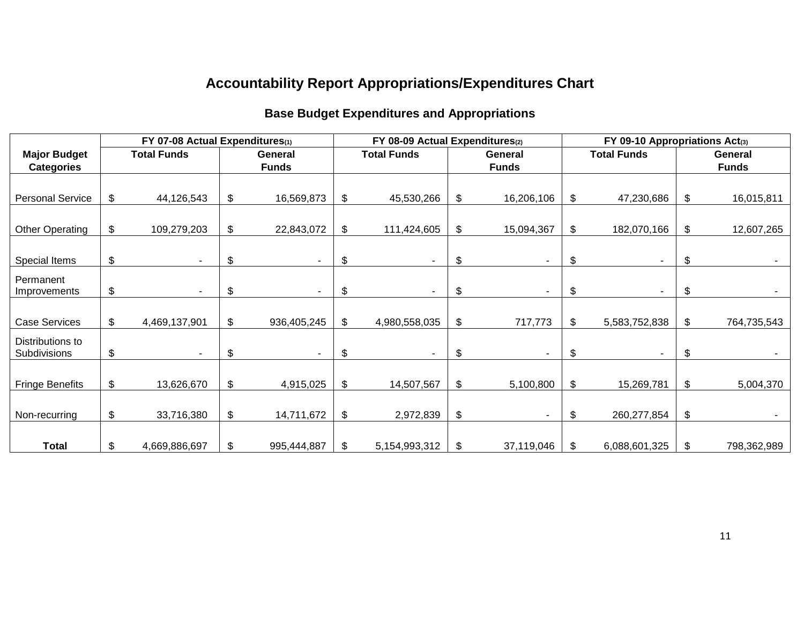# **Accountability Report Appropriations/Expenditures Chart**

# **Base Budget Expenditures and Appropriations**

| FY 07-08 Actual Expenditures(1) |    |                    | FY 08-09 Actual Expenditures(2) |              |    |                               |    | FY 09-10 Appropriations Act(3) |                    |                          |         |             |              |  |  |
|---------------------------------|----|--------------------|---------------------------------|--------------|----|-------------------------------|----|--------------------------------|--------------------|--------------------------|---------|-------------|--------------|--|--|
| <b>Major Budget</b>             |    | <b>Total Funds</b> |                                 | General      |    | <b>Total Funds</b><br>General |    |                                | <b>Total Funds</b> |                          | General |             |              |  |  |
| <b>Categories</b>               |    |                    |                                 | <b>Funds</b> |    |                               |    | <b>Funds</b>                   |                    |                          |         |             | <b>Funds</b> |  |  |
|                                 |    |                    |                                 |              |    |                               |    |                                |                    |                          |         |             |              |  |  |
| <b>Personal Service</b>         | \$ | 44,126,543         | \$                              | 16,569,873   | \$ | 45,530,266                    | \$ | 16,206,106                     | \$                 | 47,230,686               | \$      | 16,015,811  |              |  |  |
|                                 |    |                    |                                 |              |    |                               |    |                                |                    |                          |         |             |              |  |  |
| <b>Other Operating</b>          | \$ | 109,279,203        | \$                              | 22,843,072   | \$ | 111,424,605                   | \$ | 15,094,367                     | \$                 | 182,070,166              | \$      | 12,607,265  |              |  |  |
|                                 |    |                    |                                 |              |    |                               |    |                                |                    |                          |         |             |              |  |  |
| Special Items                   | \$ |                    | \$                              |              | \$ |                               | \$ | $\blacksquare$                 | \$                 | $\overline{\phantom{a}}$ | \$      |             |              |  |  |
| Permanent                       |    |                    |                                 |              |    |                               |    |                                |                    |                          |         |             |              |  |  |
| Improvements                    | \$ |                    | \$                              |              | \$ |                               | \$ | ٠                              | \$                 | $\blacksquare$           | \$      |             |              |  |  |
|                                 |    |                    |                                 |              |    |                               |    |                                |                    |                          |         |             |              |  |  |
| <b>Case Services</b>            | \$ | 4,469,137,901      | \$                              | 936,405,245  | \$ | 4,980,558,035                 | \$ | 717,773                        | \$                 | 5,583,752,838            | \$      | 764,735,543 |              |  |  |
| Distributions to                |    |                    |                                 |              |    |                               |    |                                |                    |                          |         |             |              |  |  |
| Subdivisions                    | \$ | $\sim$             | \$                              |              | \$ |                               | \$ | $\blacksquare$                 | \$                 | $\blacksquare$           | \$      |             |              |  |  |
|                                 |    |                    |                                 |              |    |                               |    |                                |                    |                          |         |             |              |  |  |
| <b>Fringe Benefits</b>          | \$ | 13,626,670         | \$                              | 4,915,025    | \$ | 14,507,567                    | \$ | 5,100,800                      | \$                 | 15,269,781               | \$      | 5,004,370   |              |  |  |
|                                 |    |                    |                                 |              |    |                               |    |                                |                    |                          |         |             |              |  |  |
| Non-recurring                   | \$ | 33,716,380         | \$                              | 14,711,672   | \$ | 2,972,839                     | \$ |                                | \$                 | 260,277,854              | \$      |             |              |  |  |
|                                 |    |                    |                                 |              |    |                               |    |                                |                    |                          |         |             |              |  |  |
| <b>Total</b>                    | \$ | 4,669,886,697      | \$.                             | 995,444,887  | \$ | 5, 154, 993, 312              | \$ | 37,119,046                     | \$                 | 6,088,601,325            | \$      | 798,362,989 |              |  |  |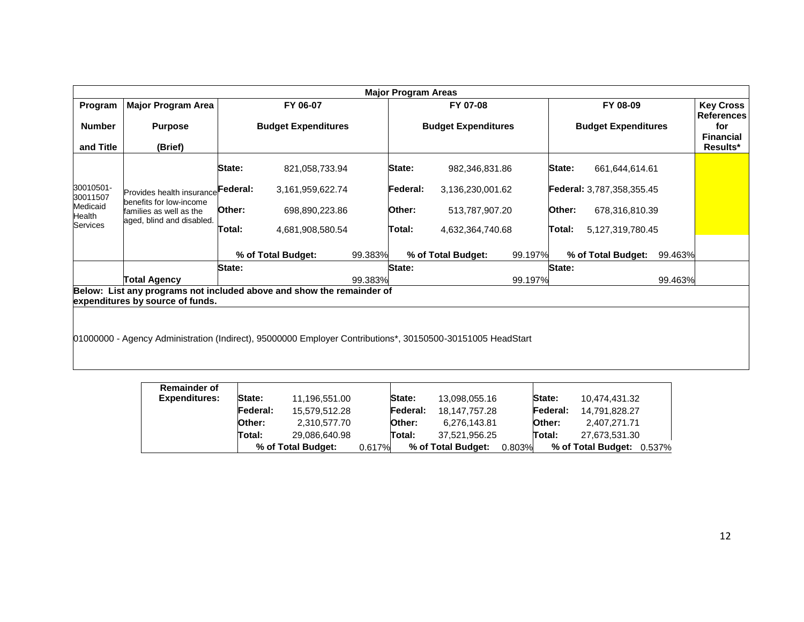| <b>Major Program Areas</b>                  |                                                                                                              |                                                                                                            |                            |          |                    |                            |        |                                  |                                       |                              |
|---------------------------------------------|--------------------------------------------------------------------------------------------------------------|------------------------------------------------------------------------------------------------------------|----------------------------|----------|--------------------|----------------------------|--------|----------------------------------|---------------------------------------|------------------------------|
| Program                                     | <b>Major Program Area</b>                                                                                    | FY 06-07                                                                                                   | FY 07-08                   |          |                    | FY 08-09                   |        |                                  | <b>Key Cross</b><br><b>References</b> |                              |
| <b>Number</b>                               | <b>Purpose</b>                                                                                               | <b>Budget Expenditures</b>                                                                                 | <b>Budget Expenditures</b> |          |                    | <b>Budget Expenditures</b> |        |                                  | for                                   |                              |
| and Title                                   | (Brief)                                                                                                      |                                                                                                            |                            |          |                    |                            |        |                                  |                                       | <b>Financial</b><br>Results* |
|                                             |                                                                                                              | State:<br>821,058,733.94                                                                                   |                            | State:   | 982,346,831.86     |                            | State: | 661,644,614.61                   |                                       |                              |
| 30010501-<br>30011507<br>Medicaid<br>Health | Provides health insurance<br>benefits for low-income<br>families as well as the<br>aged, blind and disabled. | Federal:<br>3,161,959,622.74                                                                               |                            | Federal: | 3,136,230,001.62   |                            |        | <b>Federal:</b> 3,787,358,355.45 |                                       |                              |
|                                             |                                                                                                              | Other:<br>698,890,223.86                                                                                   |                            | Other:   | 513,787,907.20     |                            | Other: | 678,316,810.39                   |                                       |                              |
| Services                                    |                                                                                                              | Total:<br>4,681,908,580.54                                                                                 |                            | Total:   | 4,632,364,740.68   |                            | Total: | 5,127,319,780.45                 |                                       |                              |
|                                             |                                                                                                              | % of Total Budget:                                                                                         | 99.383%                    |          | % of Total Budget: | 99.197%                    |        | % of Total Budget:               | 99.463%                               |                              |
|                                             |                                                                                                              | State:                                                                                                     |                            | State:   |                    |                            | State: |                                  |                                       |                              |
|                                             | Total Agency                                                                                                 |                                                                                                            | 99.383%                    |          |                    | 99.197%                    |        |                                  | 99.463%                               |                              |
|                                             |                                                                                                              | Below: List any programs not included above and show the remainder of                                      |                            |          |                    |                            |        |                                  |                                       |                              |
|                                             | expenditures by source of funds.                                                                             |                                                                                                            |                            |          |                    |                            |        |                                  |                                       |                              |
|                                             |                                                                                                              |                                                                                                            |                            |          |                    |                            |        |                                  |                                       |                              |
|                                             |                                                                                                              |                                                                                                            |                            |          |                    |                            |        |                                  |                                       |                              |
|                                             |                                                                                                              | 01000000 - Agency Administration (Indirect), 95000000 Employer Contributions*, 30150500-30151005 HeadStart |                            |          |                    |                            |        |                                  |                                       |                              |

| <b>Remainder of</b>  |               |                    |        |          |                    |        |          |                           |
|----------------------|---------------|--------------------|--------|----------|--------------------|--------|----------|---------------------------|
| <b>Expenditures:</b> | State:        | 11.196.551.00      |        | State:   | 13.098.055.16      |        | State:   | 10.474.431.32             |
|                      | Federal:      | 15.579.512.28      |        | Federal: | 18.147.757.28      |        | Federal: | 14.791.828.27             |
|                      | <b>Other:</b> | 2.310.577.70       |        | Other:   | 6.276.143.81       |        | Other:   | 2.407.271.71              |
|                      | Total:        | 29.086.640.98      |        | Total:   | 37.521.956.25      |        | Total:   | 27.673.531.30             |
|                      |               | % of Total Budget: | 0.617% |          | % of Total Budget: | 0.803% |          | % of Total Budget: 0.537% |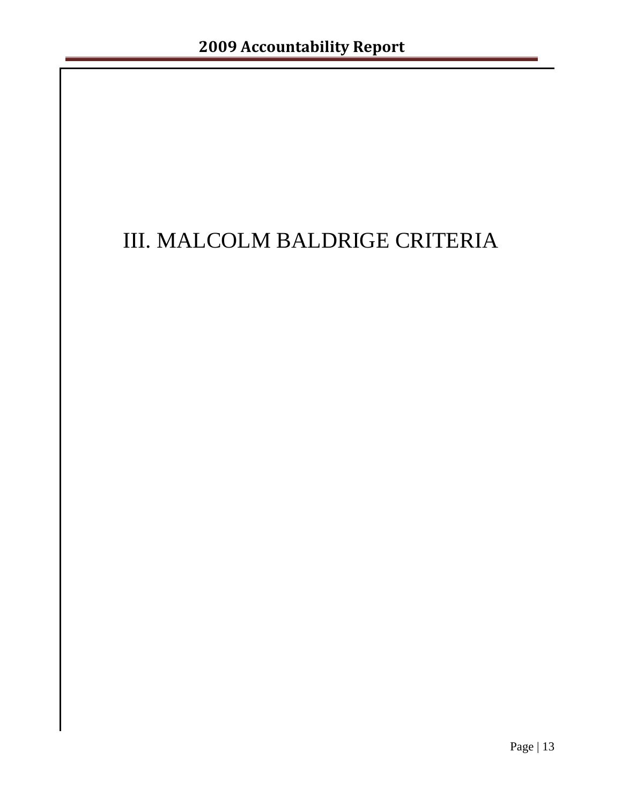# III. MALCOLM BALDRIGE CRITERIA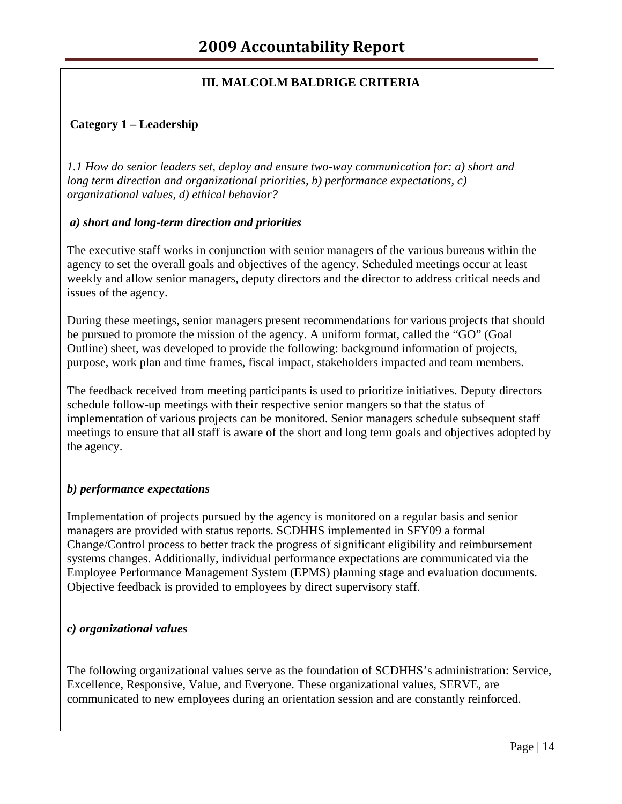# **III. MALCOLM BALDRIGE CRITERIA**

#### **Category 1 – Leadership**

*1.1 How do senior leaders set, deploy and ensure two-way communication for: a) short and long term direction and organizational priorities, b) performance expectations, c) organizational values, d) ethical behavior?* 

#### *a) short and long-term direction and priorities*

The executive staff works in conjunction with senior managers of the various bureaus within the agency to set the overall goals and objectives of the agency. Scheduled meetings occur at least weekly and allow senior managers, deputy directors and the director to address critical needs and issues of the agency.

During these meetings, senior managers present recommendations for various projects that should be pursued to promote the mission of the agency. A uniform format, called the "GO" (Goal Outline) sheet, was developed to provide the following: background information of projects, purpose, work plan and time frames, fiscal impact, stakeholders impacted and team members.

The feedback received from meeting participants is used to prioritize initiatives. Deputy directors schedule follow-up meetings with their respective senior mangers so that the status of implementation of various projects can be monitored. Senior managers schedule subsequent staff meetings to ensure that all staff is aware of the short and long term goals and objectives adopted by the agency.

#### *b) performance expectations*

Implementation of projects pursued by the agency is monitored on a regular basis and senior managers are provided with status reports. SCDHHS implemented in SFY09 a formal Change/Control process to better track the progress of significant eligibility and reimbursement systems changes. Additionally, individual performance expectations are communicated via the Employee Performance Management System (EPMS) planning stage and evaluation documents. Objective feedback is provided to employees by direct supervisory staff.

#### *c) organizational values*

The following organizational values serve as the foundation of SCDHHS's administration: Service, Excellence, Responsive, Value, and Everyone. These organizational values, SERVE, are communicated to new employees during an orientation session and are constantly reinforced.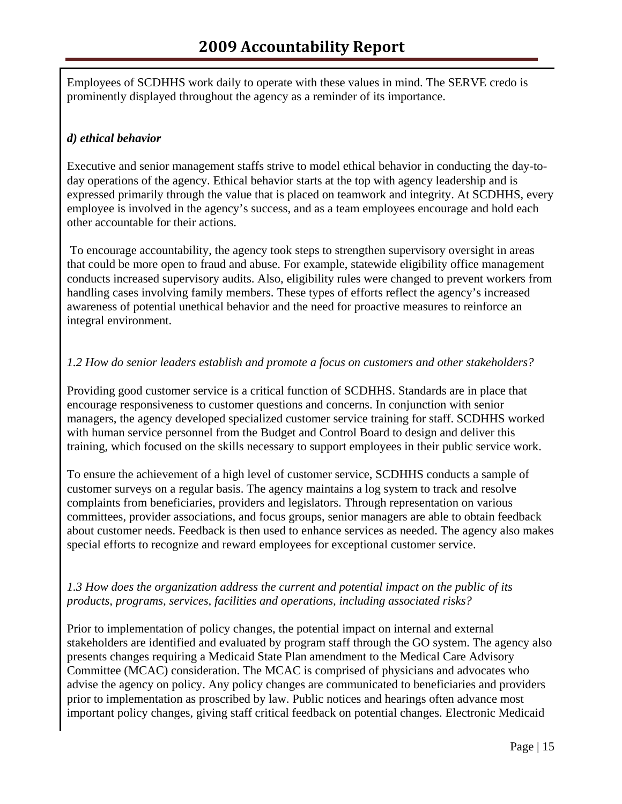Employees of SCDHHS work daily to operate with these values in mind. The SERVE credo is prominently displayed throughout the agency as a reminder of its importance.

# *d) ethical behavior*

Executive and senior management staffs strive to model ethical behavior in conducting the day-today operations of the agency. Ethical behavior starts at the top with agency leadership and is expressed primarily through the value that is placed on teamwork and integrity. At SCDHHS, every employee is involved in the agency's success, and as a team employees encourage and hold each other accountable for their actions.

 To encourage accountability, the agency took steps to strengthen supervisory oversight in areas that could be more open to fraud and abuse. For example, statewide eligibility office management conducts increased supervisory audits. Also, eligibility rules were changed to prevent workers from handling cases involving family members. These types of efforts reflect the agency's increased awareness of potential unethical behavior and the need for proactive measures to reinforce an integral environment.

# *1.2 How do senior leaders establish and promote a focus on customers and other stakeholders?*

Providing good customer service is a critical function of SCDHHS. Standards are in place that encourage responsiveness to customer questions and concerns. In conjunction with senior managers, the agency developed specialized customer service training for staff. SCDHHS worked with human service personnel from the Budget and Control Board to design and deliver this training, which focused on the skills necessary to support employees in their public service work.

To ensure the achievement of a high level of customer service, SCDHHS conducts a sample of customer surveys on a regular basis. The agency maintains a log system to track and resolve complaints from beneficiaries, providers and legislators. Through representation on various committees, provider associations, and focus groups, senior managers are able to obtain feedback about customer needs. Feedback is then used to enhance services as needed. The agency also makes special efforts to recognize and reward employees for exceptional customer service.

# *1.3 How does the organization address the current and potential impact on the public of its products, programs, services, facilities and operations, including associated risks?*

Prior to implementation of policy changes, the potential impact on internal and external stakeholders are identified and evaluated by program staff through the GO system. The agency also presents changes requiring a Medicaid State Plan amendment to the Medical Care Advisory Committee (MCAC) consideration. The MCAC is comprised of physicians and advocates who advise the agency on policy. Any policy changes are communicated to beneficiaries and providers prior to implementation as proscribed by law. Public notices and hearings often advance most important policy changes, giving staff critical feedback on potential changes. Electronic Medicaid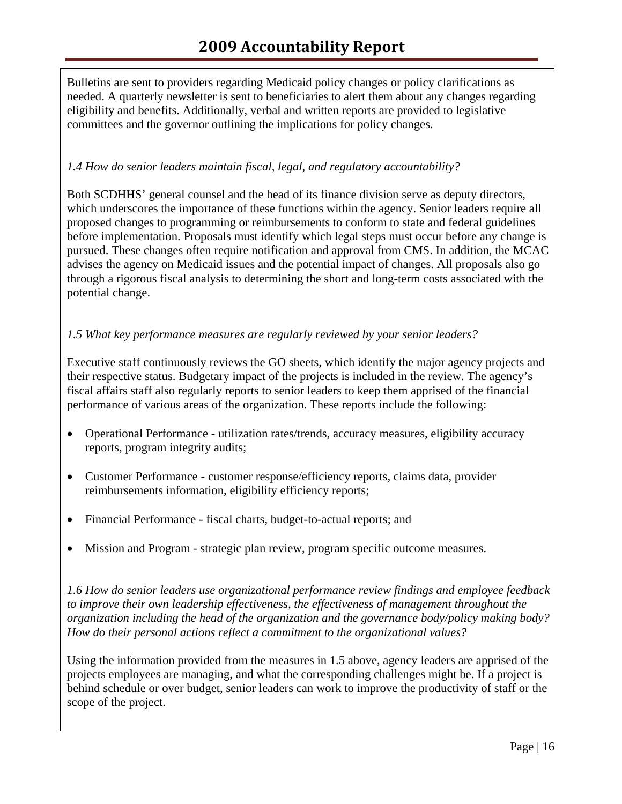Bulletins are sent to providers regarding Medicaid policy changes or policy clarifications as needed. A quarterly newsletter is sent to beneficiaries to alert them about any changes regarding eligibility and benefits. Additionally, verbal and written reports are provided to legislative committees and the governor outlining the implications for policy changes.

#### *1.4 How do senior leaders maintain fiscal, legal, and regulatory accountability?*

Both SCDHHS' general counsel and the head of its finance division serve as deputy directors, which underscores the importance of these functions within the agency. Senior leaders require all proposed changes to programming or reimbursements to conform to state and federal guidelines before implementation. Proposals must identify which legal steps must occur before any change is pursued. These changes often require notification and approval from CMS. In addition, the MCAC advises the agency on Medicaid issues and the potential impact of changes. All proposals also go through a rigorous fiscal analysis to determining the short and long-term costs associated with the potential change.

#### *1.5 What key performance measures are regularly reviewed by your senior leaders?*

Executive staff continuously reviews the GO sheets, which identify the major agency projects and their respective status. Budgetary impact of the projects is included in the review. The agency's fiscal affairs staff also regularly reports to senior leaders to keep them apprised of the financial performance of various areas of the organization. These reports include the following:

- Operational Performance utilization rates/trends, accuracy measures, eligibility accuracy reports, program integrity audits;
- Customer Performance customer response/efficiency reports, claims data, provider reimbursements information, eligibility efficiency reports;
- Financial Performance fiscal charts, budget-to-actual reports; and
- Mission and Program strategic plan review, program specific outcome measures.

*1.6 How do senior leaders use organizational performance review findings and employee feedback to improve their own leadership effectiveness, the effectiveness of management throughout the organization including the head of the organization and the governance body/policy making body? How do their personal actions reflect a commitment to the organizational values?*

Using the information provided from the measures in 1.5 above, agency leaders are apprised of the projects employees are managing, and what the corresponding challenges might be. If a project is behind schedule or over budget, senior leaders can work to improve the productivity of staff or the scope of the project.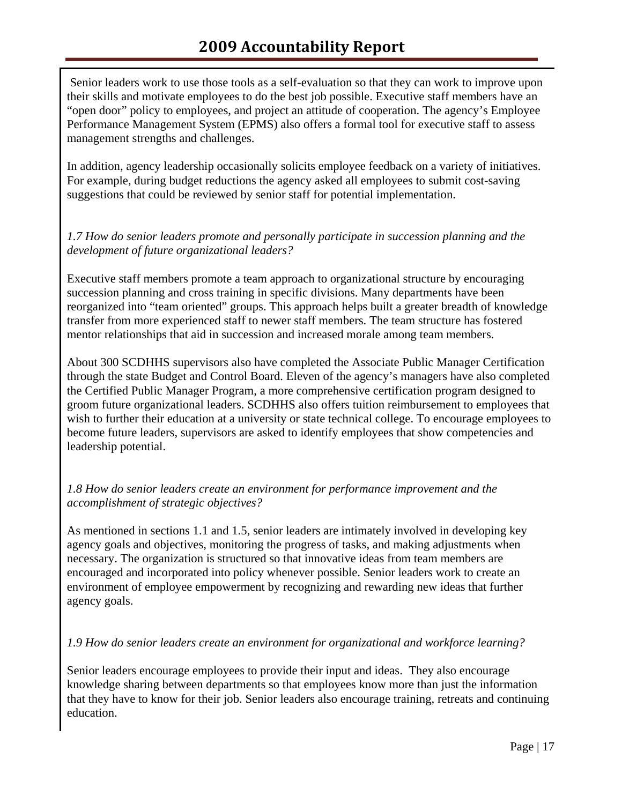Senior leaders work to use those tools as a self-evaluation so that they can work to improve upon their skills and motivate employees to do the best job possible. Executive staff members have an "open door" policy to employees, and project an attitude of cooperation. The agency's Employee Performance Management System (EPMS) also offers a formal tool for executive staff to assess management strengths and challenges.

In addition, agency leadership occasionally solicits employee feedback on a variety of initiatives. For example, during budget reductions the agency asked all employees to submit cost-saving suggestions that could be reviewed by senior staff for potential implementation.

#### *1.7 How do senior leaders promote and personally participate in succession planning and the development of future organizational leaders?*

Executive staff members promote a team approach to organizational structure by encouraging succession planning and cross training in specific divisions. Many departments have been reorganized into "team oriented" groups. This approach helps built a greater breadth of knowledge transfer from more experienced staff to newer staff members. The team structure has fostered mentor relationships that aid in succession and increased morale among team members.

About 300 SCDHHS supervisors also have completed the Associate Public Manager Certification through the state Budget and Control Board. Eleven of the agency's managers have also completed the Certified Public Manager Program, a more comprehensive certification program designed to groom future organizational leaders. SCDHHS also offers tuition reimbursement to employees that wish to further their education at a university or state technical college. To encourage employees to become future leaders, supervisors are asked to identify employees that show competencies and leadership potential.

# *1.8 How do senior leaders create an environment for performance improvement and the accomplishment of strategic objectives?*

As mentioned in sections 1.1 and 1.5, senior leaders are intimately involved in developing key agency goals and objectives, monitoring the progress of tasks, and making adjustments when necessary. The organization is structured so that innovative ideas from team members are encouraged and incorporated into policy whenever possible. Senior leaders work to create an environment of employee empowerment by recognizing and rewarding new ideas that further agency goals.

# *1.9 How do senior leaders create an environment for organizational and workforce learning?*

Senior leaders encourage employees to provide their input and ideas. They also encourage knowledge sharing between departments so that employees know more than just the information that they have to know for their job. Senior leaders also encourage training, retreats and continuing education.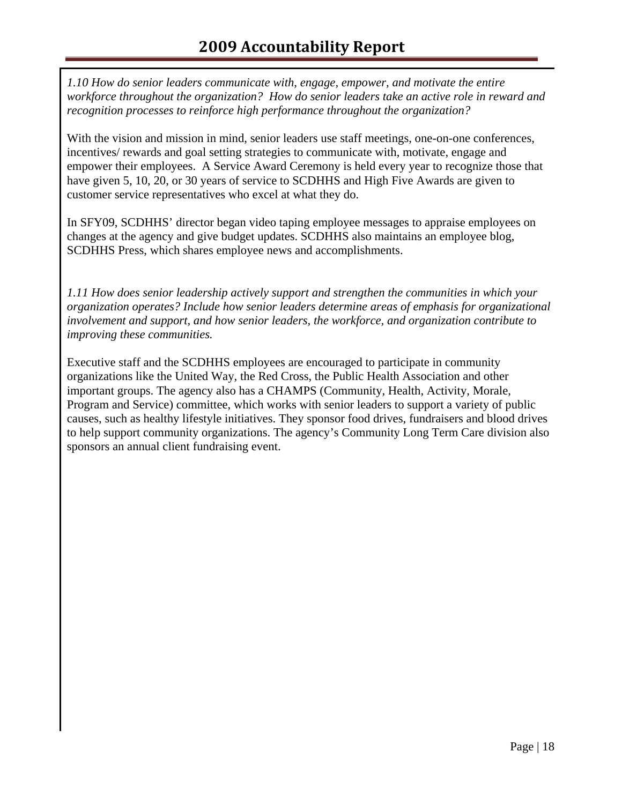*1.10 How do senior leaders communicate with, engage, empower, and motivate the entire workforce throughout the organization? How do senior leaders take an active role in reward and recognition processes to reinforce high performance throughout the organization?* 

With the vision and mission in mind, senior leaders use staff meetings, one-on-one conferences, incentives/ rewards and goal setting strategies to communicate with, motivate, engage and empower their employees. A Service Award Ceremony is held every year to recognize those that have given 5, 10, 20, or 30 years of service to SCDHHS and High Five Awards are given to customer service representatives who excel at what they do.

In SFY09, SCDHHS' director began video taping employee messages to appraise employees on changes at the agency and give budget updates. SCDHHS also maintains an employee blog, SCDHHS Press, which shares employee news and accomplishments.

*1.11 How does senior leadership actively support and strengthen the communities in which your organization operates? Include how senior leaders determine areas of emphasis for organizational involvement and support, and how senior leaders, the workforce, and organization contribute to improving these communities.* 

Executive staff and the SCDHHS employees are encouraged to participate in community organizations like the United Way, the Red Cross, the Public Health Association and other important groups. The agency also has a CHAMPS (Community, Health, Activity, Morale, Program and Service) committee, which works with senior leaders to support a variety of public causes, such as healthy lifestyle initiatives. They sponsor food drives, fundraisers and blood drives to help support community organizations. The agency's Community Long Term Care division also sponsors an annual client fundraising event.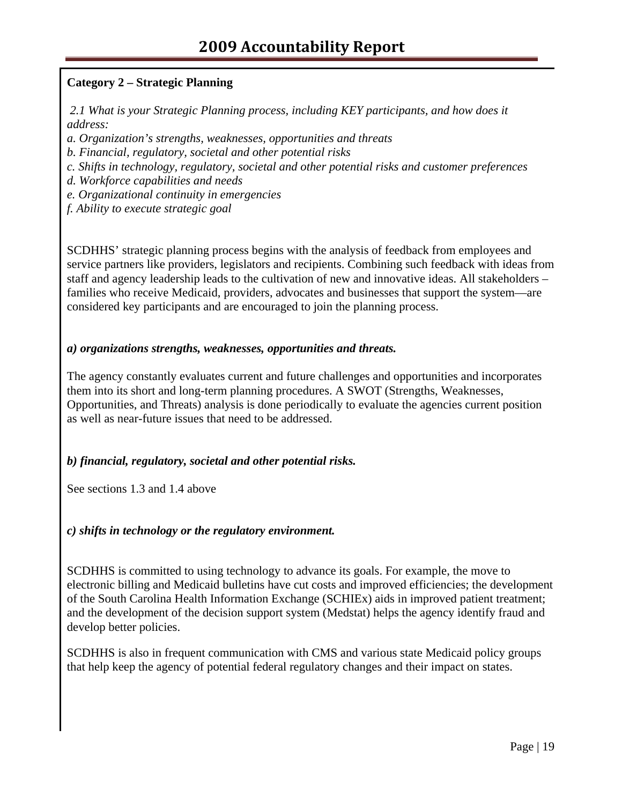# **Category 2 – Strategic Planning**

 *2.1 What is your Strategic Planning process, including KEY participants, and how does it address:* 

*a. Organization's strengths, weaknesses, opportunities and threats* 

*b. Financial, regulatory, societal and other potential risks* 

*c. Shifts in technology, regulatory, societal and other potential risks and customer preferences* 

*d. Workforce capabilities and needs* 

*e. Organizational continuity in emergencies* 

*f. Ability to execute strategic goal*

SCDHHS' strategic planning process begins with the analysis of feedback from employees and service partners like providers, legislators and recipients. Combining such feedback with ideas from staff and agency leadership leads to the cultivation of new and innovative ideas. All stakeholders – families who receive Medicaid, providers, advocates and businesses that support the system—are considered key participants and are encouraged to join the planning process.

#### *a) organizations strengths, weaknesses, opportunities and threats.*

The agency constantly evaluates current and future challenges and opportunities and incorporates them into its short and long-term planning procedures. A SWOT (Strengths, Weaknesses, Opportunities, and Threats) analysis is done periodically to evaluate the agencies current position as well as near-future issues that need to be addressed.

# *b) financial, regulatory, societal and other potential risks.*

See sections 1.3 and 1.4 above

# *c) shifts in technology or the regulatory environment.*

SCDHHS is committed to using technology to advance its goals. For example, the move to electronic billing and Medicaid bulletins have cut costs and improved efficiencies; the development of the South Carolina Health Information Exchange (SCHIEx) aids in improved patient treatment; and the development of the decision support system (Medstat) helps the agency identify fraud and develop better policies.

SCDHHS is also in frequent communication with CMS and various state Medicaid policy groups that help keep the agency of potential federal regulatory changes and their impact on states.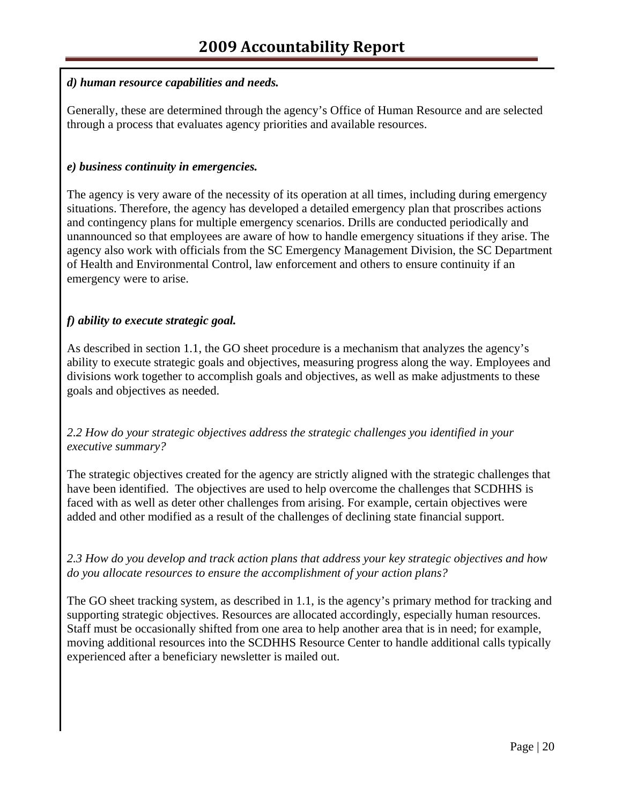#### *d) human resource capabilities and needs.*

Generally, these are determined through the agency's Office of Human Resource and are selected through a process that evaluates agency priorities and available resources.

#### *e) business continuity in emergencies.*

The agency is very aware of the necessity of its operation at all times, including during emergency situations. Therefore, the agency has developed a detailed emergency plan that proscribes actions and contingency plans for multiple emergency scenarios. Drills are conducted periodically and unannounced so that employees are aware of how to handle emergency situations if they arise. The agency also work with officials from the SC Emergency Management Division, the SC Department of Health and Environmental Control, law enforcement and others to ensure continuity if an emergency were to arise.

# *f) ability to execute strategic goal.*

As described in section 1.1, the GO sheet procedure is a mechanism that analyzes the agency's ability to execute strategic goals and objectives, measuring progress along the way. Employees and divisions work together to accomplish goals and objectives, as well as make adjustments to these goals and objectives as needed.

# *2.2 How do your strategic objectives address the strategic challenges you identified in your executive summary?*

The strategic objectives created for the agency are strictly aligned with the strategic challenges that have been identified. The objectives are used to help overcome the challenges that SCDHHS is faced with as well as deter other challenges from arising. For example, certain objectives were added and other modified as a result of the challenges of declining state financial support.

# *2.3 How do you develop and track action plans that address your key strategic objectives and how do you allocate resources to ensure the accomplishment of your action plans?*

The GO sheet tracking system, as described in 1.1, is the agency's primary method for tracking and supporting strategic objectives. Resources are allocated accordingly, especially human resources. Staff must be occasionally shifted from one area to help another area that is in need; for example, moving additional resources into the SCDHHS Resource Center to handle additional calls typically experienced after a beneficiary newsletter is mailed out.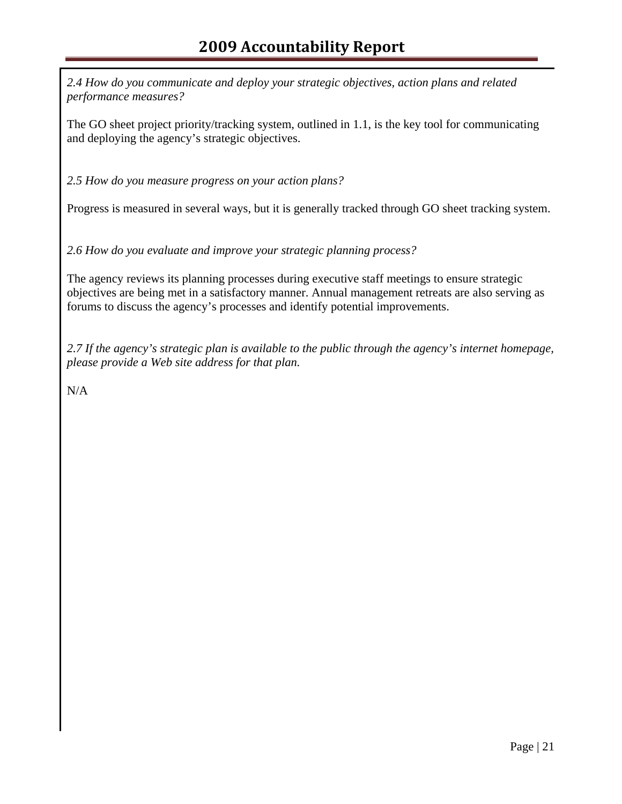*2.4 How do you communicate and deploy your strategic objectives, action plans and related performance measures?* 

The GO sheet project priority/tracking system, outlined in 1.1, is the key tool for communicating and deploying the agency's strategic objectives.

*2.5 How do you measure progress on your action plans?* 

Progress is measured in several ways, but it is generally tracked through GO sheet tracking system.

*2.6 How do you evaluate and improve your strategic planning process?* 

The agency reviews its planning processes during executive staff meetings to ensure strategic objectives are being met in a satisfactory manner. Annual management retreats are also serving as forums to discuss the agency's processes and identify potential improvements.

*2.7 If the agency's strategic plan is available to the public through the agency's internet homepage, please provide a Web site address for that plan.* 

N/A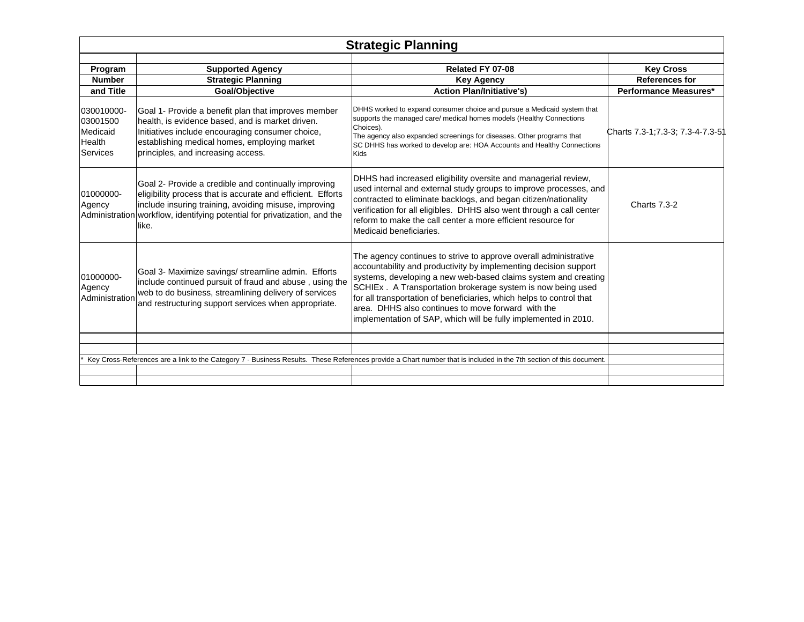|                                                                 | <b>Strategic Planning</b>                                                                                                                                                                                                                                          |                                                                                                                                                                                                                                                                                                                                                                                                                                                                         |                                                                           |  |  |  |  |  |  |
|-----------------------------------------------------------------|--------------------------------------------------------------------------------------------------------------------------------------------------------------------------------------------------------------------------------------------------------------------|-------------------------------------------------------------------------------------------------------------------------------------------------------------------------------------------------------------------------------------------------------------------------------------------------------------------------------------------------------------------------------------------------------------------------------------------------------------------------|---------------------------------------------------------------------------|--|--|--|--|--|--|
| Program<br><b>Number</b><br>and Title                           | <b>Supported Agency</b><br><b>Strategic Planning</b><br>Goal/Objective                                                                                                                                                                                             | Related FY 07-08<br><b>Key Agency</b><br><b>Action Plan/Initiative's)</b>                                                                                                                                                                                                                                                                                                                                                                                               | <b>Key Cross</b><br><b>References for</b><br><b>Performance Measures*</b> |  |  |  |  |  |  |
| 030010000-<br>03001500<br>Medicaid<br>Health<br><b>Services</b> | Goal 1- Provide a benefit plan that improves member<br>health, is evidence based, and is market driven.<br>Initiatives include encouraging consumer choice,<br>establishing medical homes, employing market<br>principles, and increasing access.                  | DHHS worked to expand consumer choice and pursue a Medicaid system that<br>supports the managed care/ medical homes models (Healthy Connections<br>Choices).<br>The agency also expanded screenings for diseases. Other programs that<br>SC DHHS has worked to develop are: HOA Accounts and Healthy Connections<br>Kids                                                                                                                                                | Charts 7.3-1; 7.3-3; 7.3-4-7.3-51                                         |  |  |  |  |  |  |
| 01000000-<br>Agency                                             | Goal 2- Provide a credible and continually improving<br>eligibility process that is accurate and efficient. Efforts<br>include insuring training, avoiding misuse, improving<br>Administration workflow, identifying potential for privatization, and the<br>like. | DHHS had increased eligibility oversite and managerial review,<br>used internal and external study groups to improve processes, and<br>contracted to eliminate backlogs, and began citizen/nationality<br>verification for all eligibles. DHHS also went through a call center<br>reform to make the call center a more efficient resource for<br>Medicaid beneficiaries.                                                                                               | <b>Charts 7.3-2</b>                                                       |  |  |  |  |  |  |
| 01000000-<br>Agency<br>Administration                           | Goal 3- Maximize savings/ streamline admin. Efforts<br>include continued pursuit of fraud and abuse, using the<br>web to do business, streamlining delivery of services<br>and restructuring support services when appropriate.                                    | The agency continues to strive to approve overall administrative<br>accountability and productivity by implementing decision support<br>systems, developing a new web-based claims system and creating<br>SCHIEx . A Transportation brokerage system is now being used<br>for all transportation of beneficiaries, which helps to control that<br>area. DHHS also continues to move forward with the<br>implementation of SAP, which will be fully implemented in 2010. |                                                                           |  |  |  |  |  |  |
|                                                                 |                                                                                                                                                                                                                                                                    | Key Cross-References are a link to the Category 7 - Business Results. These References provide a Chart number that is included in the 7th section of this document.                                                                                                                                                                                                                                                                                                     |                                                                           |  |  |  |  |  |  |
|                                                                 |                                                                                                                                                                                                                                                                    |                                                                                                                                                                                                                                                                                                                                                                                                                                                                         |                                                                           |  |  |  |  |  |  |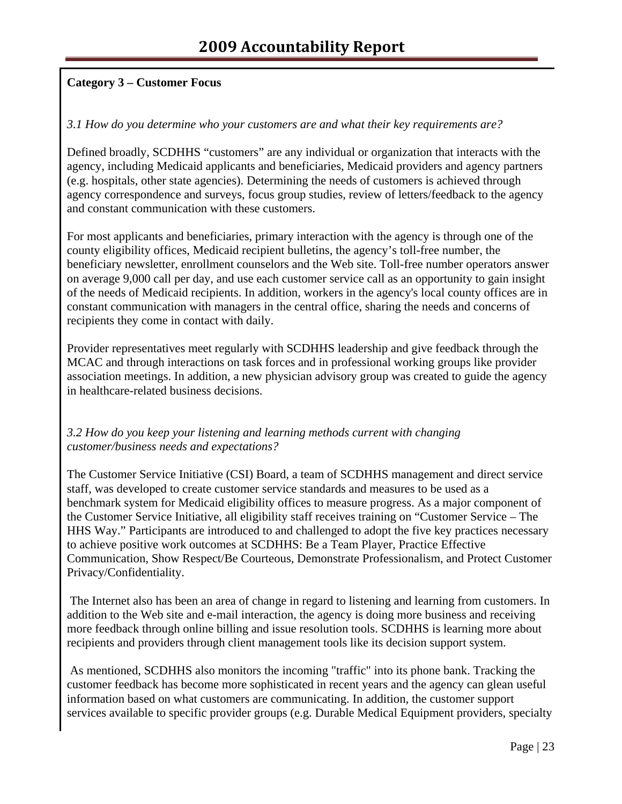# **Category 3 – Customer Focus**

#### *3.1 How do you determine who your customers are and what their key requirements are?*

Defined broadly, SCDHHS "customers" are any individual or organization that interacts with the agency, including Medicaid applicants and beneficiaries, Medicaid providers and agency partners (e.g. hospitals, other state agencies). Determining the needs of customers is achieved through agency correspondence and surveys, focus group studies, review of letters/feedback to the agency and constant communication with these customers.

For most applicants and beneficiaries, primary interaction with the agency is through one of the county eligibility offices, Medicaid recipient bulletins, the agency's toll-free number, the beneficiary newsletter, enrollment counselors and the Web site. Toll-free number operators answer on average 9,000 call per day, and use each customer service call as an opportunity to gain insight of the needs of Medicaid recipients. In addition, workers in the agency's local county offices are in constant communication with managers in the central office, sharing the needs and concerns of recipients they come in contact with daily.

Provider representatives meet regularly with SCDHHS leadership and give feedback through the MCAC and through interactions on task forces and in professional working groups like provider association meetings. In addition, a new physician advisory group was created to guide the agency in healthcare-related business decisions.

#### *3.2 How do you keep your listening and learning methods current with changing customer/business needs and expectations?*

The Customer Service Initiative (CSI) Board, a team of SCDHHS management and direct service staff, was developed to create customer service standards and measures to be used as a benchmark system for Medicaid eligibility offices to measure progress. As a major component of the Customer Service Initiative, all eligibility staff receives training on "Customer Service – The HHS Way." Participants are introduced to and challenged to adopt the five key practices necessary to achieve positive work outcomes at SCDHHS: Be a Team Player, Practice Effective Communication, Show Respect/Be Courteous, Demonstrate Professionalism, and Protect Customer Privacy/Confidentiality.

 The Internet also has been an area of change in regard to listening and learning from customers. In addition to the Web site and e-mail interaction, the agency is doing more business and receiving more feedback through online billing and issue resolution tools. SCDHHS is learning more about recipients and providers through client management tools like its decision support system.

 As mentioned, SCDHHS also monitors the incoming "traffic" into its phone bank. Tracking the customer feedback has become more sophisticated in recent years and the agency can glean useful information based on what customers are communicating. In addition, the customer support services available to specific provider groups (e.g. Durable Medical Equipment providers, specialty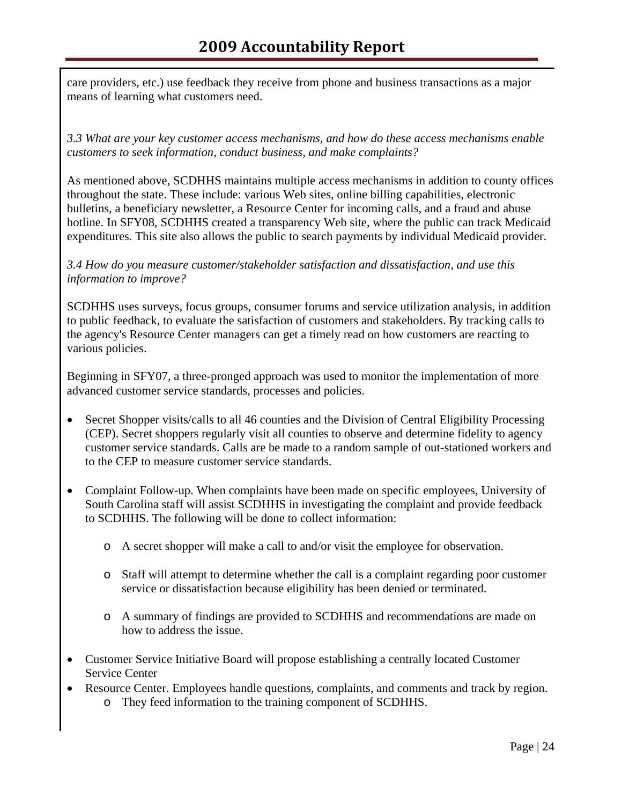care providers, etc.) use feedback they receive from phone and business transactions as a major means of learning what customers need.

*3.3 What are your key customer access mechanisms, and how do these access mechanisms enable customers to seek information, conduct business, and make complaints?* 

As mentioned above, SCDHHS maintains multiple access mechanisms in addition to county offices throughout the state. These include: various Web sites, online billing capabilities, electronic bulletins, a beneficiary newsletter, a Resource Center for incoming calls, and a fraud and abuse hotline. In SFY08, SCDHHS created a transparency Web site, where the public can track Medicaid expenditures. This site also allows the public to search payments by individual Medicaid provider.

#### *3.4 How do you measure customer/stakeholder satisfaction and dissatisfaction, and use this information to improve?*

SCDHHS uses surveys, focus groups, consumer forums and service utilization analysis, in addition to public feedback, to evaluate the satisfaction of customers and stakeholders. By tracking calls to the agency's Resource Center managers can get a timely read on how customers are reacting to various policies.

Beginning in SFY07, a three-pronged approach was used to monitor the implementation of more advanced customer service standards, processes and policies.

- Secret Shopper visits/calls to all 46 counties and the Division of Central Eligibility Processing (CEP). Secret shoppers regularly visit all counties to observe and determine fidelity to agency customer service standards. Calls are be made to a random sample of out-stationed workers and to the CEP to measure customer service standards.
- Complaint Follow-up. When complaints have been made on specific employees, University of South Carolina staff will assist SCDHHS in investigating the complaint and provide feedback to SCDHHS. The following will be done to collect information:
	- o A secret shopper will make a call to and/or visit the employee for observation.
	- o Staff will attempt to determine whether the call is a complaint regarding poor customer service or dissatisfaction because eligibility has been denied or terminated.
	- o A summary of findings are provided to SCDHHS and recommendations are made on how to address the issue.
- Customer Service Initiative Board will propose establishing a centrally located Customer Service Center
- Resource Center. Employees handle questions, complaints, and comments and track by region. o They feed information to the training component of SCDHHS.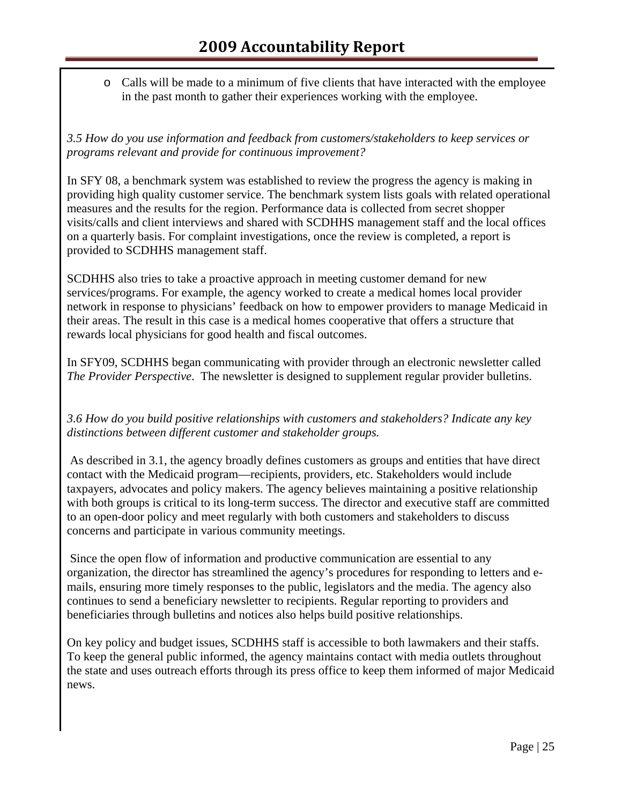o Calls will be made to a minimum of five clients that have interacted with the employee in the past month to gather their experiences working with the employee.

*3.5 How do you use information and feedback from customers/stakeholders to keep services or programs relevant and provide for continuous improvement?*

In SFY 08, a benchmark system was established to review the progress the agency is making in providing high quality customer service. The benchmark system lists goals with related operational measures and the results for the region. Performance data is collected from secret shopper visits/calls and client interviews and shared with SCDHHS management staff and the local offices on a quarterly basis. For complaint investigations, once the review is completed, a report is provided to SCDHHS management staff.

SCDHHS also tries to take a proactive approach in meeting customer demand for new services/programs. For example, the agency worked to create a medical homes local provider network in response to physicians' feedback on how to empower providers to manage Medicaid in their areas. The result in this case is a medical homes cooperative that offers a structure that rewards local physicians for good health and fiscal outcomes.

In SFY09, SCDHHS began communicating with provider through an electronic newsletter called *The Provider Perspective*. The newsletter is designed to supplement regular provider bulletins.

*3.6 How do you build positive relationships with customers and stakeholders? Indicate any key distinctions between different customer and stakeholder groups.* 

 As described in 3.1, the agency broadly defines customers as groups and entities that have direct contact with the Medicaid program—recipients, providers, etc. Stakeholders would include taxpayers, advocates and policy makers. The agency believes maintaining a positive relationship with both groups is critical to its long-term success. The director and executive staff are committed to an open-door policy and meet regularly with both customers and stakeholders to discuss concerns and participate in various community meetings.

 Since the open flow of information and productive communication are essential to any organization, the director has streamlined the agency's procedures for responding to letters and emails, ensuring more timely responses to the public, legislators and the media. The agency also continues to send a beneficiary newsletter to recipients. Regular reporting to providers and beneficiaries through bulletins and notices also helps build positive relationships.

On key policy and budget issues, SCDHHS staff is accessible to both lawmakers and their staffs. To keep the general public informed, the agency maintains contact with media outlets throughout the state and uses outreach efforts through its press office to keep them informed of major Medicaid news.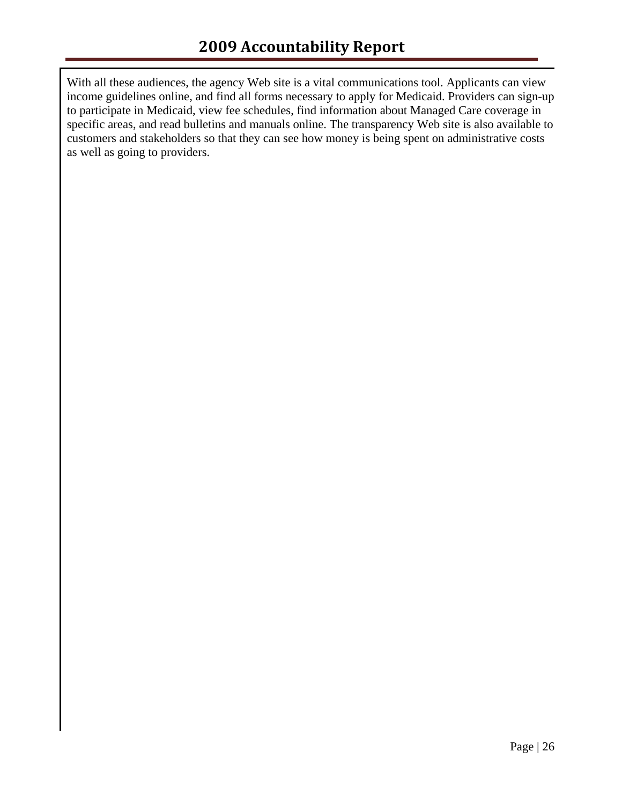With all these audiences, the agency Web site is a vital communications tool. Applicants can view income guidelines online, and find all forms necessary to apply for Medicaid. Providers can sign-up to participate in Medicaid, view fee schedules, find information about Managed Care coverage in specific areas, and read bulletins and manuals online. The transparency Web site is also available to customers and stakeholders so that they can see how money is being spent on administrative costs as well as going to providers.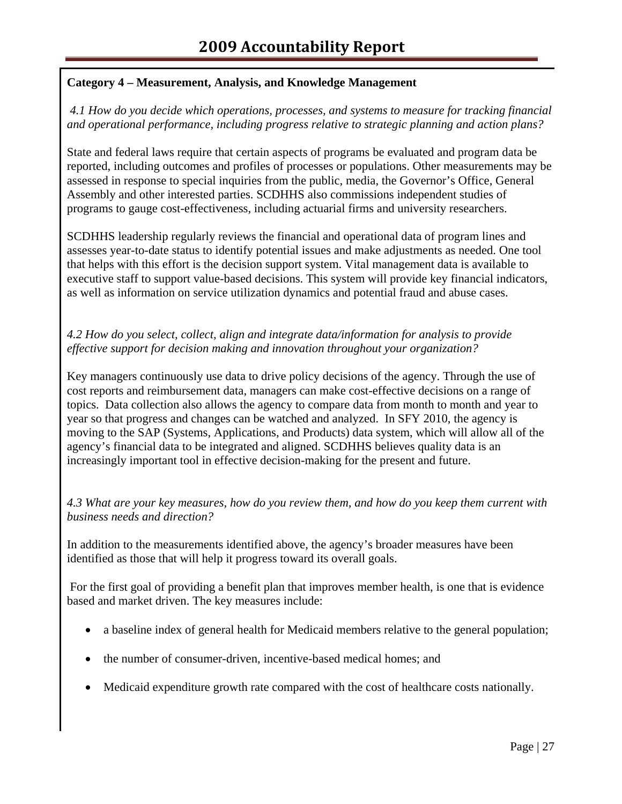# **Category 4 – Measurement, Analysis, and Knowledge Management**

*4.1 How do you decide which operations, processes, and systems to measure for tracking financial and operational performance, including progress relative to strategic planning and action plans?* 

State and federal laws require that certain aspects of programs be evaluated and program data be reported, including outcomes and profiles of processes or populations. Other measurements may be assessed in response to special inquiries from the public, media, the Governor's Office, General Assembly and other interested parties. SCDHHS also commissions independent studies of programs to gauge cost-effectiveness, including actuarial firms and university researchers.

SCDHHS leadership regularly reviews the financial and operational data of program lines and assesses year-to-date status to identify potential issues and make adjustments as needed. One tool that helps with this effort is the decision support system. Vital management data is available to executive staff to support value-based decisions. This system will provide key financial indicators, as well as information on service utilization dynamics and potential fraud and abuse cases.

# *4.2 How do you select, collect, align and integrate data/information for analysis to provide effective support for decision making and innovation throughout your organization?*

Key managers continuously use data to drive policy decisions of the agency. Through the use of cost reports and reimbursement data, managers can make cost-effective decisions on a range of topics. Data collection also allows the agency to compare data from month to month and year to year so that progress and changes can be watched and analyzed. In SFY 2010, the agency is moving to the SAP (Systems, Applications, and Products) data system, which will allow all of the agency's financial data to be integrated and aligned. SCDHHS believes quality data is an increasingly important tool in effective decision-making for the present and future.

*4.3 What are your key measures, how do you review them, and how do you keep them current with business needs and direction?*

In addition to the measurements identified above, the agency's broader measures have been identified as those that will help it progress toward its overall goals.

 For the first goal of providing a benefit plan that improves member health, is one that is evidence based and market driven. The key measures include:

- a baseline index of general health for Medicaid members relative to the general population;
- the number of consumer-driven, incentive-based medical homes; and
- Medicaid expenditure growth rate compared with the cost of healthcare costs nationally.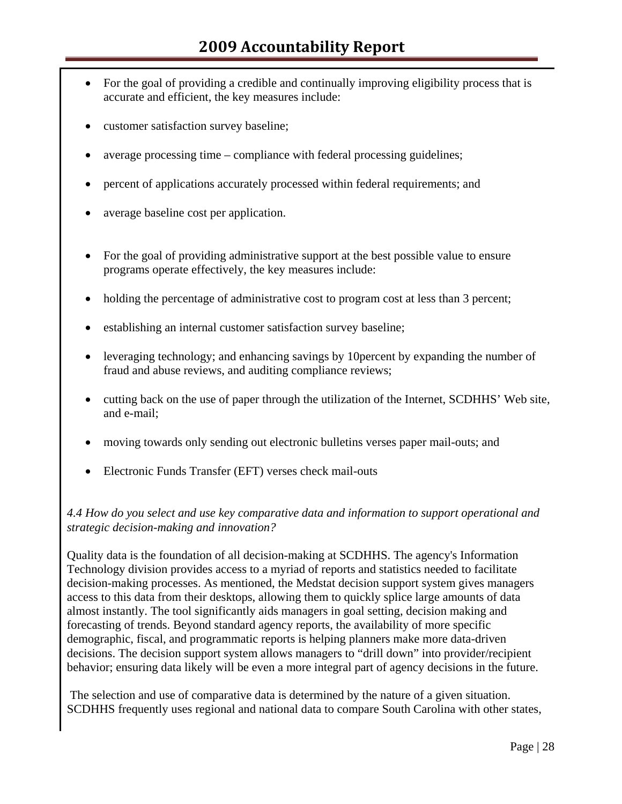- For the goal of providing a credible and continually improving eligibility process that is accurate and efficient, the key measures include:
- customer satisfaction survey baseline;
- average processing time compliance with federal processing guidelines;
- percent of applications accurately processed within federal requirements; and
- average baseline cost per application.
- For the goal of providing administrative support at the best possible value to ensure programs operate effectively, the key measures include:
- holding the percentage of administrative cost to program cost at less than 3 percent;
- establishing an internal customer satisfaction survey baseline;
- leveraging technology; and enhancing savings by 10 percent by expanding the number of fraud and abuse reviews, and auditing compliance reviews;
- cutting back on the use of paper through the utilization of the Internet, SCDHHS' Web site, and e-mail;
- moving towards only sending out electronic bulletins verses paper mail-outs; and
- Electronic Funds Transfer (EFT) verses check mail-outs

#### *4.4 How do you select and use key comparative data and information to support operational and strategic decision-making and innovation?*

Quality data is the foundation of all decision-making at SCDHHS. The agency's Information Technology division provides access to a myriad of reports and statistics needed to facilitate decision-making processes. As mentioned, the Medstat decision support system gives managers access to this data from their desktops, allowing them to quickly splice large amounts of data almost instantly. The tool significantly aids managers in goal setting, decision making and forecasting of trends. Beyond standard agency reports, the availability of more specific demographic, fiscal, and programmatic reports is helping planners make more data-driven decisions. The decision support system allows managers to "drill down" into provider/recipient behavior; ensuring data likely will be even a more integral part of agency decisions in the future.

 The selection and use of comparative data is determined by the nature of a given situation. SCDHHS frequently uses regional and national data to compare South Carolina with other states,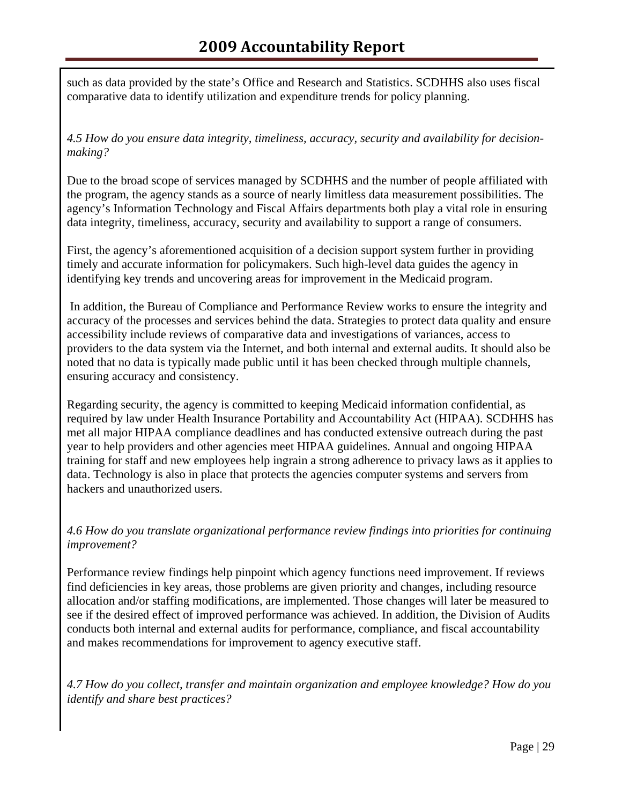such as data provided by the state's Office and Research and Statistics. SCDHHS also uses fiscal comparative data to identify utilization and expenditure trends for policy planning.

*4.5 How do you ensure data integrity, timeliness, accuracy, security and availability for decisionmaking?*

Due to the broad scope of services managed by SCDHHS and the number of people affiliated with the program, the agency stands as a source of nearly limitless data measurement possibilities. The agency's Information Technology and Fiscal Affairs departments both play a vital role in ensuring data integrity, timeliness, accuracy, security and availability to support a range of consumers.

First, the agency's aforementioned acquisition of a decision support system further in providing timely and accurate information for policymakers. Such high-level data guides the agency in identifying key trends and uncovering areas for improvement in the Medicaid program.

 In addition, the Bureau of Compliance and Performance Review works to ensure the integrity and accuracy of the processes and services behind the data. Strategies to protect data quality and ensure accessibility include reviews of comparative data and investigations of variances, access to providers to the data system via the Internet, and both internal and external audits. It should also be noted that no data is typically made public until it has been checked through multiple channels, ensuring accuracy and consistency.

Regarding security, the agency is committed to keeping Medicaid information confidential, as required by law under Health Insurance Portability and Accountability Act (HIPAA). SCDHHS has met all major HIPAA compliance deadlines and has conducted extensive outreach during the past year to help providers and other agencies meet HIPAA guidelines. Annual and ongoing HIPAA training for staff and new employees help ingrain a strong adherence to privacy laws as it applies to data. Technology is also in place that protects the agencies computer systems and servers from hackers and unauthorized users.

*4.6 How do you translate organizational performance review findings into priorities for continuing improvement?*

Performance review findings help pinpoint which agency functions need improvement. If reviews find deficiencies in key areas, those problems are given priority and changes, including resource allocation and/or staffing modifications, are implemented. Those changes will later be measured to see if the desired effect of improved performance was achieved. In addition, the Division of Audits conducts both internal and external audits for performance, compliance, and fiscal accountability and makes recommendations for improvement to agency executive staff.

*4.7 How do you collect, transfer and maintain organization and employee knowledge? How do you identify and share best practices?*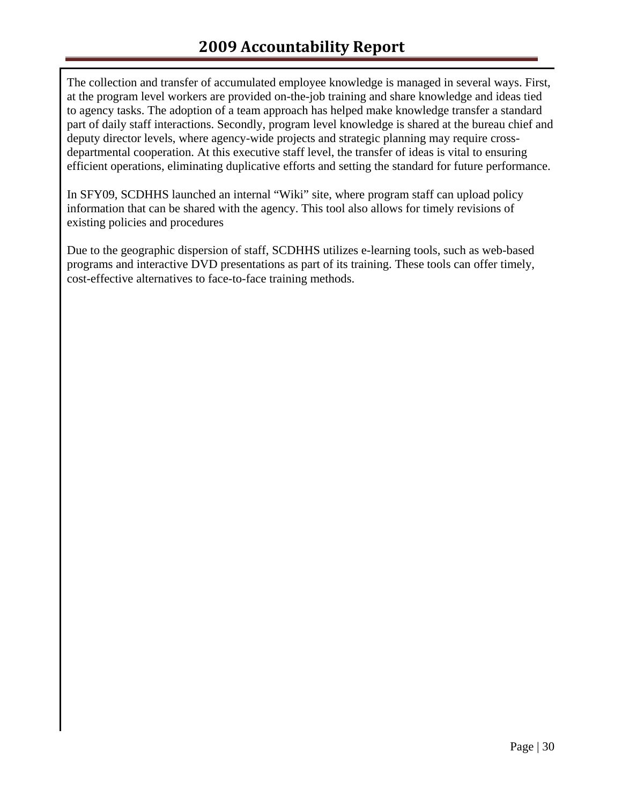The collection and transfer of accumulated employee knowledge is managed in several ways. First, at the program level workers are provided on-the-job training and share knowledge and ideas tied to agency tasks. The adoption of a team approach has helped make knowledge transfer a standard part of daily staff interactions. Secondly, program level knowledge is shared at the bureau chief and deputy director levels, where agency-wide projects and strategic planning may require crossdepartmental cooperation. At this executive staff level, the transfer of ideas is vital to ensuring efficient operations, eliminating duplicative efforts and setting the standard for future performance.

In SFY09, SCDHHS launched an internal "Wiki" site, where program staff can upload policy information that can be shared with the agency. This tool also allows for timely revisions of existing policies and procedures

Due to the geographic dispersion of staff, SCDHHS utilizes e-learning tools, such as web-based programs and interactive DVD presentations as part of its training. These tools can offer timely, cost-effective alternatives to face-to-face training methods.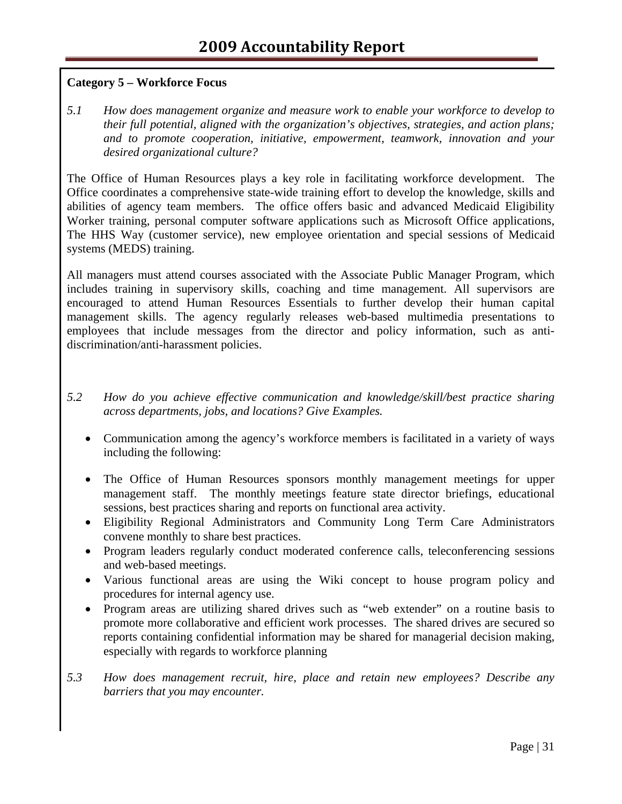# **Category 5 – Workforce Focus**

*5.1 How does management organize and measure work to enable your workforce to develop to their full potential, aligned with the organization's objectives, strategies, and action plans; and to promote cooperation, initiative, empowerment, teamwork, innovation and your desired organizational culture?* 

The Office of Human Resources plays a key role in facilitating workforce development. The Office coordinates a comprehensive state-wide training effort to develop the knowledge, skills and abilities of agency team members. The office offers basic and advanced Medicaid Eligibility Worker training, personal computer software applications such as Microsoft Office applications, The HHS Way (customer service), new employee orientation and special sessions of Medicaid systems (MEDS) training.

All managers must attend courses associated with the Associate Public Manager Program, which includes training in supervisory skills, coaching and time management. All supervisors are encouraged to attend Human Resources Essentials to further develop their human capital management skills. The agency regularly releases web-based multimedia presentations to employees that include messages from the director and policy information, such as antidiscrimination/anti-harassment policies.

- *5.2 How do you achieve effective communication and knowledge/skill/best practice sharing across departments, jobs, and locations? Give Examples.* 
	- Communication among the agency's workforce members is facilitated in a variety of ways including the following:
	- The Office of Human Resources sponsors monthly management meetings for upper management staff. The monthly meetings feature state director briefings, educational sessions, best practices sharing and reports on functional area activity.
	- Eligibility Regional Administrators and Community Long Term Care Administrators convene monthly to share best practices.
	- Program leaders regularly conduct moderated conference calls, teleconferencing sessions and web-based meetings.
	- Various functional areas are using the Wiki concept to house program policy and procedures for internal agency use.
	- Program areas are utilizing shared drives such as "web extender" on a routine basis to promote more collaborative and efficient work processes. The shared drives are secured so reports containing confidential information may be shared for managerial decision making, especially with regards to workforce planning
- *5.3 How does management recruit, hire, place and retain new employees? Describe any barriers that you may encounter.*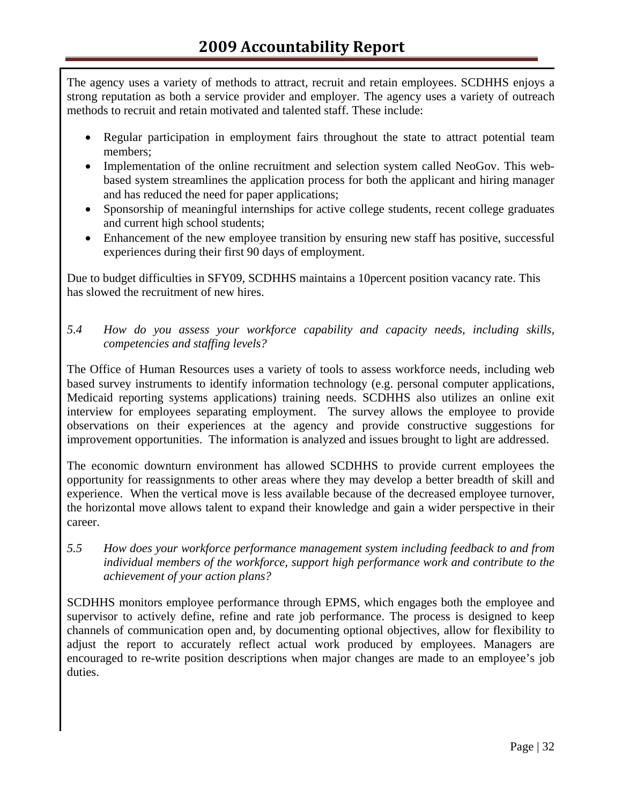The agency uses a variety of methods to attract, recruit and retain employees. SCDHHS enjoys a strong reputation as both a service provider and employer. The agency uses a variety of outreach methods to recruit and retain motivated and talented staff. These include:

- Regular participation in employment fairs throughout the state to attract potential team members;
- Implementation of the online recruitment and selection system called NeoGov. This webbased system streamlines the application process for both the applicant and hiring manager and has reduced the need for paper applications;
- Sponsorship of meaningful internships for active college students, recent college graduates and current high school students;
- Enhancement of the new employee transition by ensuring new staff has positive, successful experiences during their first 90 days of employment.

Due to budget difficulties in SFY09, SCDHHS maintains a 10percent position vacancy rate. This has slowed the recruitment of new hires.

*5.4 How do you assess your workforce capability and capacity needs, including skills, competencies and staffing levels?* 

 The Office of Human Resources uses a variety of tools to assess workforce needs, including web based survey instruments to identify information technology (e.g. personal computer applications, Medicaid reporting systems applications) training needs. SCDHHS also utilizes an online exit interview for employees separating employment. The survey allows the employee to provide observations on their experiences at the agency and provide constructive suggestions for improvement opportunities. The information is analyzed and issues brought to light are addressed.

 The economic downturn environment has allowed SCDHHS to provide current employees the opportunity for reassignments to other areas where they may develop a better breadth of skill and experience. When the vertical move is less available because of the decreased employee turnover, the horizontal move allows talent to expand their knowledge and gain a wider perspective in their career.

*5.5 How does your workforce performance management system including feedback to and from individual members of the workforce, support high performance work and contribute to the achievement of your action plans?* 

SCDHHS monitors employee performance through EPMS, which engages both the employee and supervisor to actively define, refine and rate job performance. The process is designed to keep channels of communication open and, by documenting optional objectives, allow for flexibility to adjust the report to accurately reflect actual work produced by employees. Managers are encouraged to re-write position descriptions when major changes are made to an employee's job duties.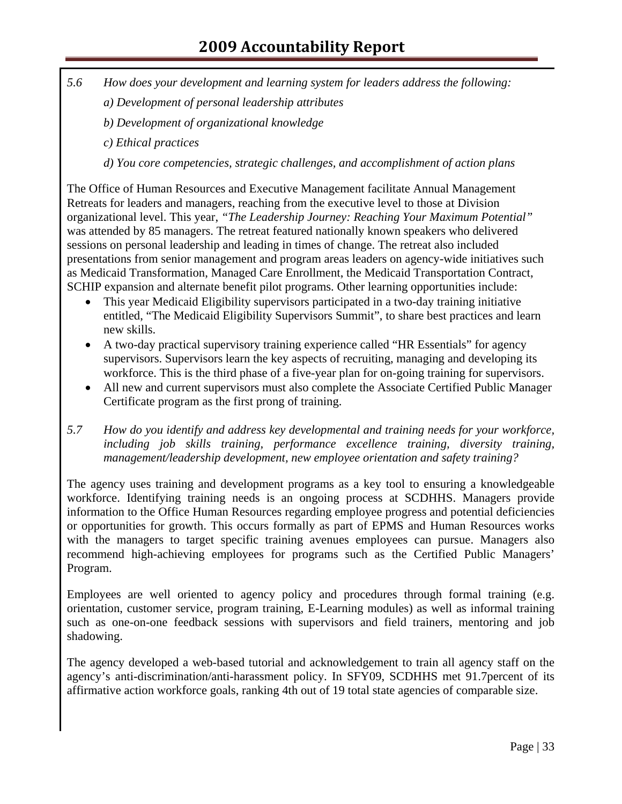- *5.6 How does your development and learning system for leaders address the following:* 
	- *a) Development of personal leadership attributes*
	- *b) Development of organizational knowledge*
	- *c) Ethical practices*
	- *d) You core competencies, strategic challenges, and accomplishment of action plans*

The Office of Human Resources and Executive Management facilitate Annual Management Retreats for leaders and managers, reaching from the executive level to those at Division organizational level. This year, *"The Leadership Journey: Reaching Your Maximum Potential"*  was attended by 85 managers. The retreat featured nationally known speakers who delivered sessions on personal leadership and leading in times of change. The retreat also included presentations from senior management and program areas leaders on agency-wide initiatives such as Medicaid Transformation, Managed Care Enrollment, the Medicaid Transportation Contract, SCHIP expansion and alternate benefit pilot programs. Other learning opportunities include:

- This year Medicaid Eligibility supervisors participated in a two-day training initiative entitled, "The Medicaid Eligibility Supervisors Summit", to share best practices and learn new skills.
- A two-day practical supervisory training experience called "HR Essentials" for agency supervisors. Supervisors learn the key aspects of recruiting, managing and developing its workforce. This is the third phase of a five-year plan for on-going training for supervisors.
- All new and current supervisors must also complete the Associate Certified Public Manager Certificate program as the first prong of training.
- *5.7 How do you identify and address key developmental and training needs for your workforce, including job skills training, performance excellence training, diversity training, management/leadership development, new employee orientation and safety training?*

The agency uses training and development programs as a key tool to ensuring a knowledgeable workforce. Identifying training needs is an ongoing process at SCDHHS. Managers provide information to the Office Human Resources regarding employee progress and potential deficiencies or opportunities for growth. This occurs formally as part of EPMS and Human Resources works with the managers to target specific training avenues employees can pursue. Managers also recommend high-achieving employees for programs such as the Certified Public Managers' Program.

Employees are well oriented to agency policy and procedures through formal training (e.g. orientation, customer service, program training, E-Learning modules) as well as informal training such as one-on-one feedback sessions with supervisors and field trainers, mentoring and job shadowing.

The agency developed a web-based tutorial and acknowledgement to train all agency staff on the agency's anti-discrimination/anti-harassment policy. In SFY09, SCDHHS met 91.7percent of its affirmative action workforce goals, ranking 4th out of 19 total state agencies of comparable size.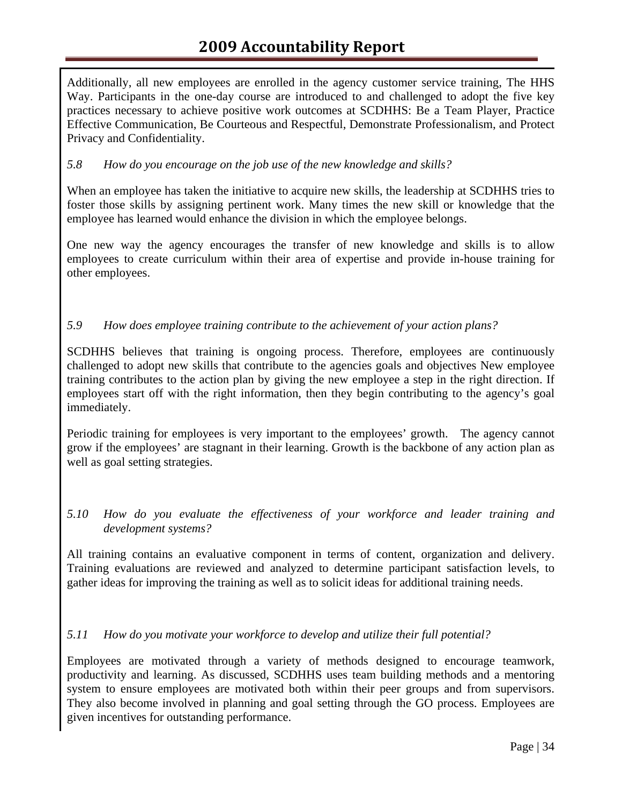# **2009 Accountability Report**

Additionally, all new employees are enrolled in the agency customer service training, The HHS Way. Participants in the one-day course are introduced to and challenged to adopt the five key practices necessary to achieve positive work outcomes at SCDHHS: Be a Team Player, Practice Effective Communication, Be Courteous and Respectful, Demonstrate Professionalism, and Protect Privacy and Confidentiality.

#### *5.8 How do you encourage on the job use of the new knowledge and skills?*

When an employee has taken the initiative to acquire new skills, the leadership at SCDHHS tries to foster those skills by assigning pertinent work. Many times the new skill or knowledge that the employee has learned would enhance the division in which the employee belongs.

One new way the agency encourages the transfer of new knowledge and skills is to allow employees to create curriculum within their area of expertise and provide in-house training for other employees.

#### *5.9 How does employee training contribute to the achievement of your action plans?*

SCDHHS believes that training is ongoing process. Therefore, employees are continuously challenged to adopt new skills that contribute to the agencies goals and objectives New employee training contributes to the action plan by giving the new employee a step in the right direction. If employees start off with the right information, then they begin contributing to the agency's goal immediately.

Periodic training for employees is very important to the employees' growth. The agency cannot grow if the employees' are stagnant in their learning. Growth is the backbone of any action plan as well as goal setting strategies.

#### *5.10 How do you evaluate the effectiveness of your workforce and leader training and development systems?*

All training contains an evaluative component in terms of content, organization and delivery. Training evaluations are reviewed and analyzed to determine participant satisfaction levels, to gather ideas for improving the training as well as to solicit ideas for additional training needs.

#### *5.11 How do you motivate your workforce to develop and utilize their full potential?*

Employees are motivated through a variety of methods designed to encourage teamwork, productivity and learning. As discussed, SCDHHS uses team building methods and a mentoring system to ensure employees are motivated both within their peer groups and from supervisors. They also become involved in planning and goal setting through the GO process. Employees are given incentives for outstanding performance.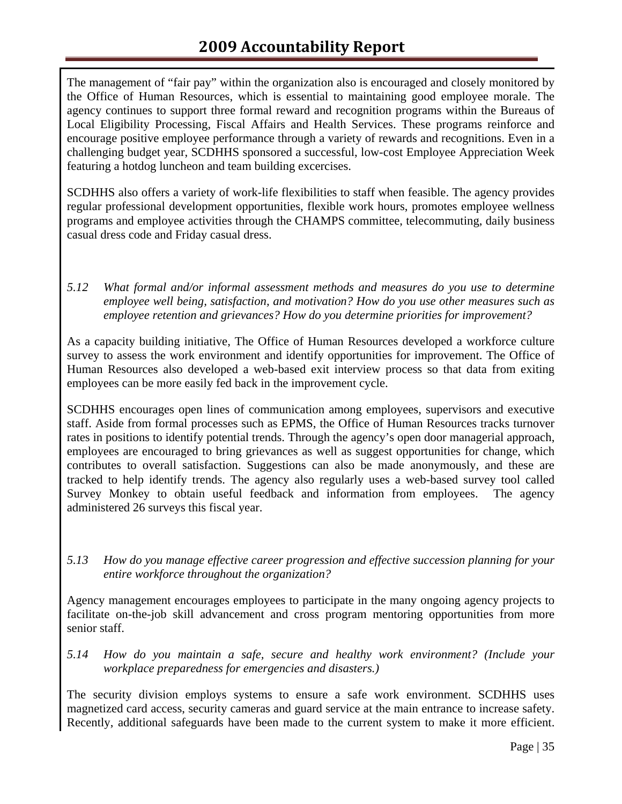The management of "fair pay" within the organization also is encouraged and closely monitored by the Office of Human Resources, which is essential to maintaining good employee morale. The agency continues to support three formal reward and recognition programs within the Bureaus of Local Eligibility Processing, Fiscal Affairs and Health Services. These programs reinforce and encourage positive employee performance through a variety of rewards and recognitions. Even in a challenging budget year, SCDHHS sponsored a successful, low-cost Employee Appreciation Week featuring a hotdog luncheon and team building excercises.

SCDHHS also offers a variety of work-life flexibilities to staff when feasible. The agency provides regular professional development opportunities, flexible work hours, promotes employee wellness programs and employee activities through the CHAMPS committee, telecommuting, daily business casual dress code and Friday casual dress.

*5.12 What formal and/or informal assessment methods and measures do you use to determine employee well being, satisfaction, and motivation? How do you use other measures such as employee retention and grievances? How do you determine priorities for improvement?* 

As a capacity building initiative, The Office of Human Resources developed a workforce culture survey to assess the work environment and identify opportunities for improvement. The Office of Human Resources also developed a web-based exit interview process so that data from exiting employees can be more easily fed back in the improvement cycle.

SCDHHS encourages open lines of communication among employees, supervisors and executive staff. Aside from formal processes such as EPMS, the Office of Human Resources tracks turnover rates in positions to identify potential trends. Through the agency's open door managerial approach, employees are encouraged to bring grievances as well as suggest opportunities for change, which contributes to overall satisfaction. Suggestions can also be made anonymously, and these are tracked to help identify trends. The agency also regularly uses a web-based survey tool called Survey Monkey to obtain useful feedback and information from employees. The agency administered 26 surveys this fiscal year.

*5.13 How do you manage effective career progression and effective succession planning for your entire workforce throughout the organization?* 

Agency management encourages employees to participate in the many ongoing agency projects to facilitate on-the-job skill advancement and cross program mentoring opportunities from more senior staff.

*5.14 How do you maintain a safe, secure and healthy work environment? (Include your workplace preparedness for emergencies and disasters.)* 

The security division employs systems to ensure a safe work environment. SCDHHS uses magnetized card access, security cameras and guard service at the main entrance to increase safety. Recently, additional safeguards have been made to the current system to make it more efficient.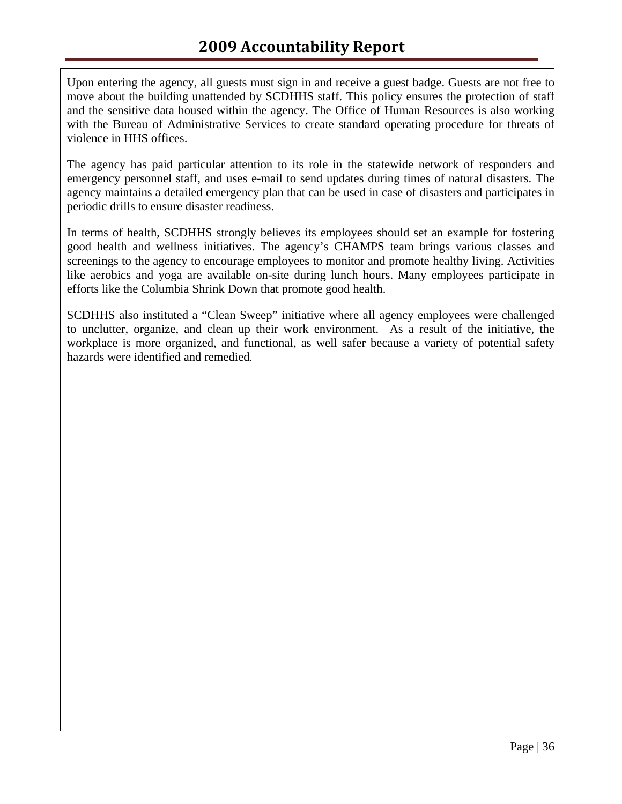Upon entering the agency, all guests must sign in and receive a guest badge. Guests are not free to move about the building unattended by SCDHHS staff. This policy ensures the protection of staff and the sensitive data housed within the agency. The Office of Human Resources is also working with the Bureau of Administrative Services to create standard operating procedure for threats of violence in HHS offices.

The agency has paid particular attention to its role in the statewide network of responders and emergency personnel staff, and uses e-mail to send updates during times of natural disasters. The agency maintains a detailed emergency plan that can be used in case of disasters and participates in periodic drills to ensure disaster readiness.

In terms of health, SCDHHS strongly believes its employees should set an example for fostering good health and wellness initiatives. The agency's CHAMPS team brings various classes and screenings to the agency to encourage employees to monitor and promote healthy living. Activities like aerobics and yoga are available on-site during lunch hours. Many employees participate in efforts like the Columbia Shrink Down that promote good health.

SCDHHS also instituted a "Clean Sweep" initiative where all agency employees were challenged to unclutter, organize, and clean up their work environment. As a result of the initiative, the workplace is more organized, and functional, as well safer because a variety of potential safety hazards were identified and remedied.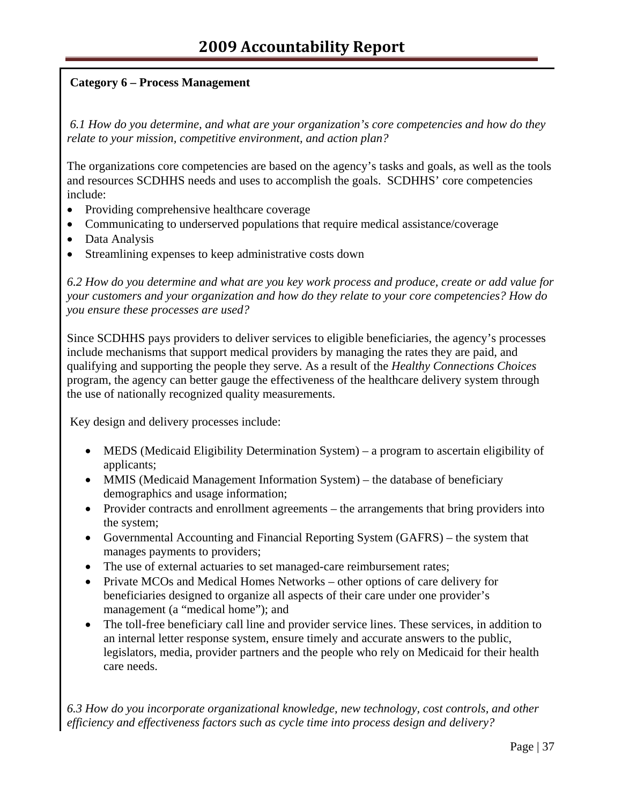# **Category 6 – Process Management**

 *6.1 How do you determine, and what are your organization's core competencies and how do they relate to your mission, competitive environment, and action plan?*

The organizations core competencies are based on the agency's tasks and goals, as well as the tools and resources SCDHHS needs and uses to accomplish the goals. SCDHHS' core competencies include:

- Providing comprehensive healthcare coverage
- Communicating to underserved populations that require medical assistance/coverage
- Data Analysis
- Streamlining expenses to keep administrative costs down

*6.2 How do you determine and what are you key work process and produce, create or add value for your customers and your organization and how do they relate to your core competencies? How do you ensure these processes are used?*

Since SCDHHS pays providers to deliver services to eligible beneficiaries, the agency's processes include mechanisms that support medical providers by managing the rates they are paid, and qualifying and supporting the people they serve. As a result of the *Healthy Connections Choices* program, the agency can better gauge the effectiveness of the healthcare delivery system through the use of nationally recognized quality measurements.

Key design and delivery processes include:

- MEDS (Medicaid Eligibility Determination System) a program to ascertain eligibility of applicants;
- MMIS (Medicaid Management Information System) the database of beneficiary demographics and usage information;
- Provider contracts and enrollment agreements the arrangements that bring providers into the system;
- Governmental Accounting and Financial Reporting System (GAFRS) the system that manages payments to providers;
- The use of external actuaries to set managed-care reimbursement rates;
- Private MCOs and Medical Homes Networks other options of care delivery for beneficiaries designed to organize all aspects of their care under one provider's management (a "medical home"); and
- The toll-free beneficiary call line and provider service lines. These services, in addition to an internal letter response system, ensure timely and accurate answers to the public, legislators, media, provider partners and the people who rely on Medicaid for their health care needs.

*6.3 How do you incorporate organizational knowledge, new technology, cost controls, and other efficiency and effectiveness factors such as cycle time into process design and delivery?*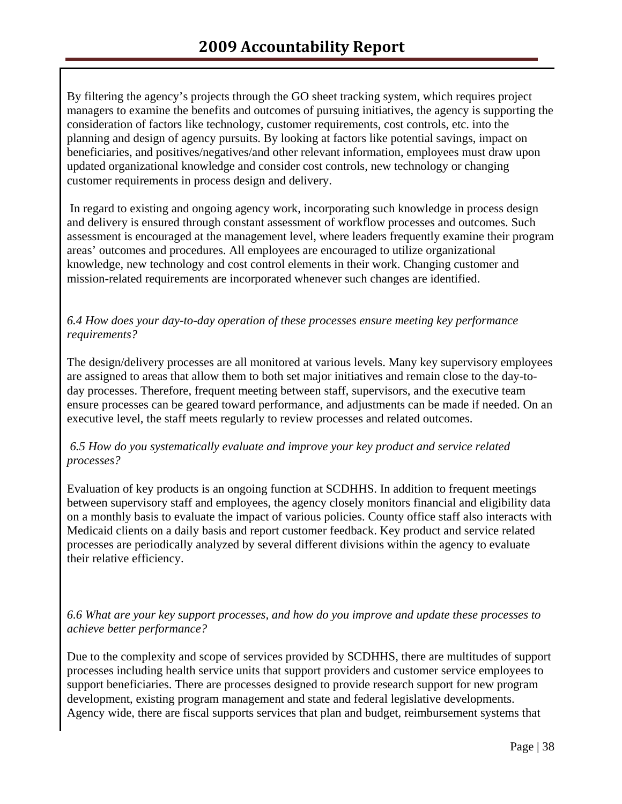By filtering the agency's projects through the GO sheet tracking system, which requires project managers to examine the benefits and outcomes of pursuing initiatives, the agency is supporting the consideration of factors like technology, customer requirements, cost controls, etc. into the planning and design of agency pursuits. By looking at factors like potential savings, impact on beneficiaries, and positives/negatives/and other relevant information, employees must draw upon updated organizational knowledge and consider cost controls, new technology or changing customer requirements in process design and delivery.

 In regard to existing and ongoing agency work, incorporating such knowledge in process design and delivery is ensured through constant assessment of workflow processes and outcomes. Such assessment is encouraged at the management level, where leaders frequently examine their program areas' outcomes and procedures. All employees are encouraged to utilize organizational knowledge, new technology and cost control elements in their work. Changing customer and mission-related requirements are incorporated whenever such changes are identified.

# *6.4 How does your day-to-day operation of these processes ensure meeting key performance requirements?*

The design/delivery processes are all monitored at various levels. Many key supervisory employees are assigned to areas that allow them to both set major initiatives and remain close to the day-today processes. Therefore, frequent meeting between staff, supervisors, and the executive team ensure processes can be geared toward performance, and adjustments can be made if needed. On an executive level, the staff meets regularly to review processes and related outcomes.

# *6.5 How do you systematically evaluate and improve your key product and service related processes?*

Evaluation of key products is an ongoing function at SCDHHS. In addition to frequent meetings between supervisory staff and employees, the agency closely monitors financial and eligibility data on a monthly basis to evaluate the impact of various policies. County office staff also interacts with Medicaid clients on a daily basis and report customer feedback. Key product and service related processes are periodically analyzed by several different divisions within the agency to evaluate their relative efficiency.

*6.6 What are your key support processes, and how do you improve and update these processes to achieve better performance?*

Due to the complexity and scope of services provided by SCDHHS, there are multitudes of support processes including health service units that support providers and customer service employees to support beneficiaries. There are processes designed to provide research support for new program development, existing program management and state and federal legislative developments. Agency wide, there are fiscal supports services that plan and budget, reimbursement systems that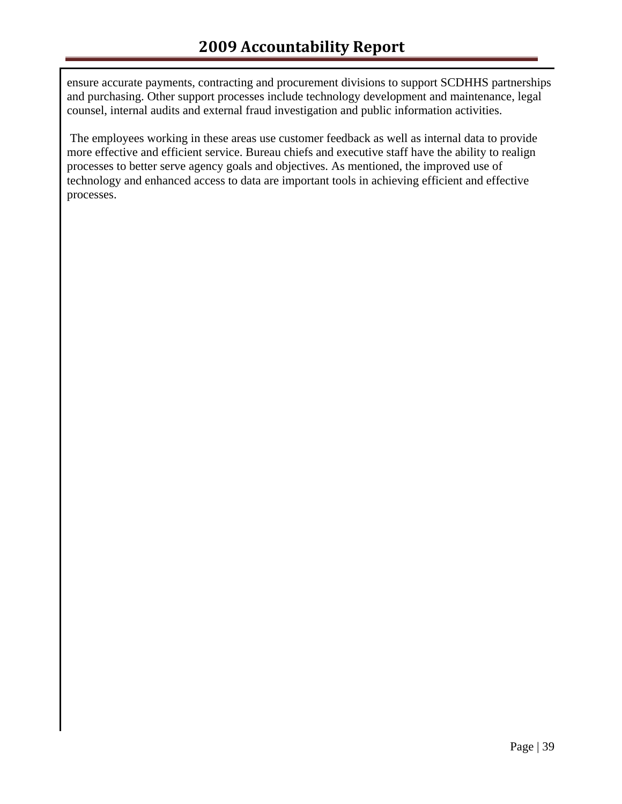ensure accurate payments, contracting and procurement divisions to support SCDHHS partnerships and purchasing. Other support processes include technology development and maintenance, legal counsel, internal audits and external fraud investigation and public information activities.

 The employees working in these areas use customer feedback as well as internal data to provide more effective and efficient service. Bureau chiefs and executive staff have the ability to realign processes to better serve agency goals and objectives. As mentioned, the improved use of technology and enhanced access to data are important tools in achieving efficient and effective processes.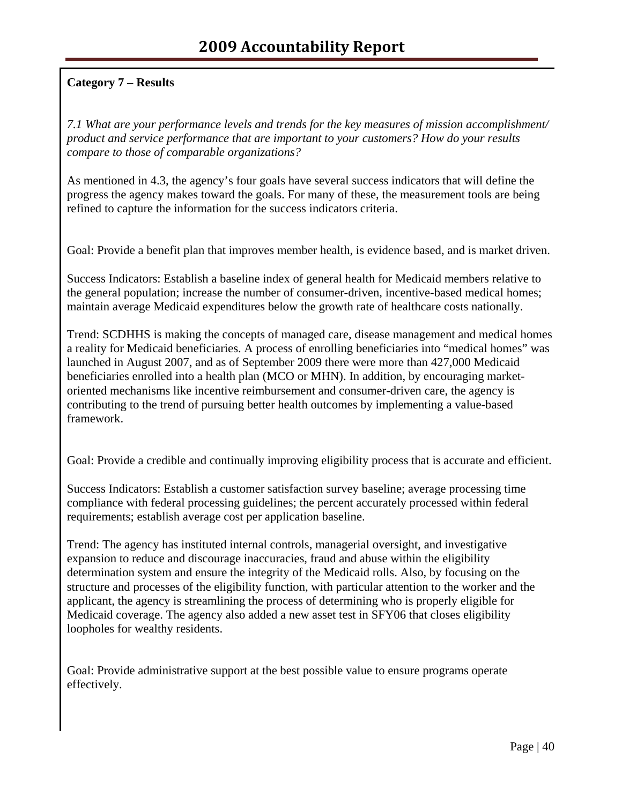# **Category 7 – Results**

*7.1 What are your performance levels and trends for the key measures of mission accomplishment/ product and service performance that are important to your customers? How do your results compare to those of comparable organizations?*

As mentioned in 4.3, the agency's four goals have several success indicators that will define the progress the agency makes toward the goals. For many of these, the measurement tools are being refined to capture the information for the success indicators criteria.

Goal: Provide a benefit plan that improves member health, is evidence based, and is market driven.

Success Indicators: Establish a baseline index of general health for Medicaid members relative to the general population; increase the number of consumer-driven, incentive-based medical homes; maintain average Medicaid expenditures below the growth rate of healthcare costs nationally.

Trend: SCDHHS is making the concepts of managed care, disease management and medical homes a reality for Medicaid beneficiaries. A process of enrolling beneficiaries into "medical homes" was launched in August 2007, and as of September 2009 there were more than 427,000 Medicaid beneficiaries enrolled into a health plan (MCO or MHN). In addition, by encouraging marketoriented mechanisms like incentive reimbursement and consumer-driven care, the agency is contributing to the trend of pursuing better health outcomes by implementing a value-based framework.

Goal: Provide a credible and continually improving eligibility process that is accurate and efficient.

Success Indicators: Establish a customer satisfaction survey baseline; average processing time compliance with federal processing guidelines; the percent accurately processed within federal requirements; establish average cost per application baseline.

Trend: The agency has instituted internal controls, managerial oversight, and investigative expansion to reduce and discourage inaccuracies, fraud and abuse within the eligibility determination system and ensure the integrity of the Medicaid rolls. Also, by focusing on the structure and processes of the eligibility function, with particular attention to the worker and the applicant, the agency is streamlining the process of determining who is properly eligible for Medicaid coverage. The agency also added a new asset test in SFY06 that closes eligibility loopholes for wealthy residents.

Goal: Provide administrative support at the best possible value to ensure programs operate effectively.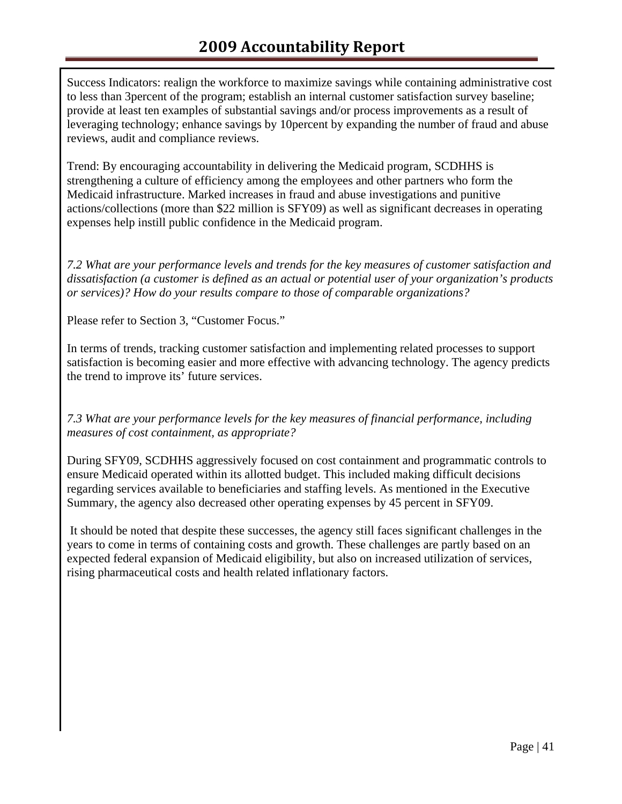Success Indicators: realign the workforce to maximize savings while containing administrative cost to less than 3percent of the program; establish an internal customer satisfaction survey baseline; provide at least ten examples of substantial savings and/or process improvements as a result of leveraging technology; enhance savings by 10percent by expanding the number of fraud and abuse reviews, audit and compliance reviews.

Trend: By encouraging accountability in delivering the Medicaid program, SCDHHS is strengthening a culture of efficiency among the employees and other partners who form the Medicaid infrastructure. Marked increases in fraud and abuse investigations and punitive actions/collections (more than \$22 million is SFY09) as well as significant decreases in operating expenses help instill public confidence in the Medicaid program.

*7.2 What are your performance levels and trends for the key measures of customer satisfaction and dissatisfaction (a customer is defined as an actual or potential user of your organization's products or services)? How do your results compare to those of comparable organizations?* 

Please refer to Section 3, "Customer Focus."

In terms of trends, tracking customer satisfaction and implementing related processes to support satisfaction is becoming easier and more effective with advancing technology. The agency predicts the trend to improve its' future services.

*7.3 What are your performance levels for the key measures of financial performance, including measures of cost containment, as appropriate?* 

During SFY09, SCDHHS aggressively focused on cost containment and programmatic controls to ensure Medicaid operated within its allotted budget. This included making difficult decisions regarding services available to beneficiaries and staffing levels. As mentioned in the Executive Summary, the agency also decreased other operating expenses by 45 percent in SFY09.

 It should be noted that despite these successes, the agency still faces significant challenges in the years to come in terms of containing costs and growth. These challenges are partly based on an expected federal expansion of Medicaid eligibility, but also on increased utilization of services, rising pharmaceutical costs and health related inflationary factors.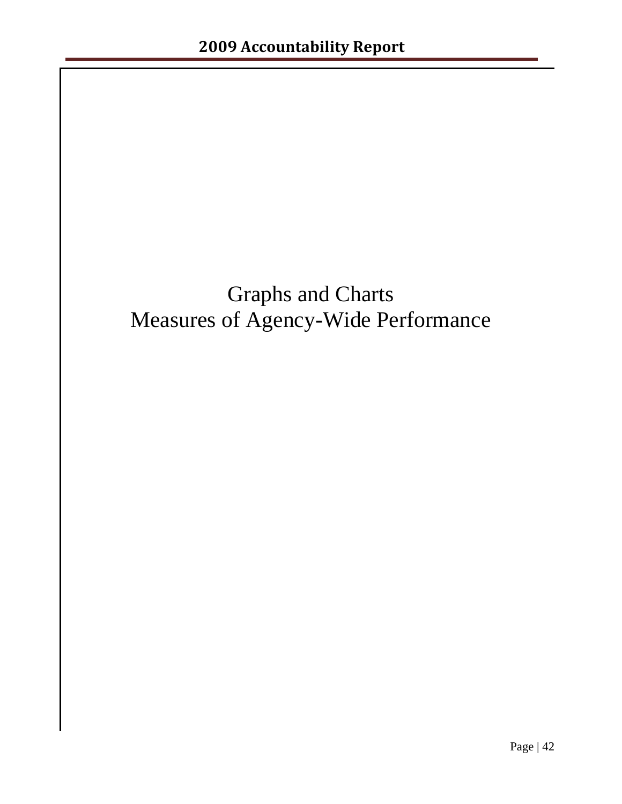# Graphs and Charts Measures of Agency-Wide Performance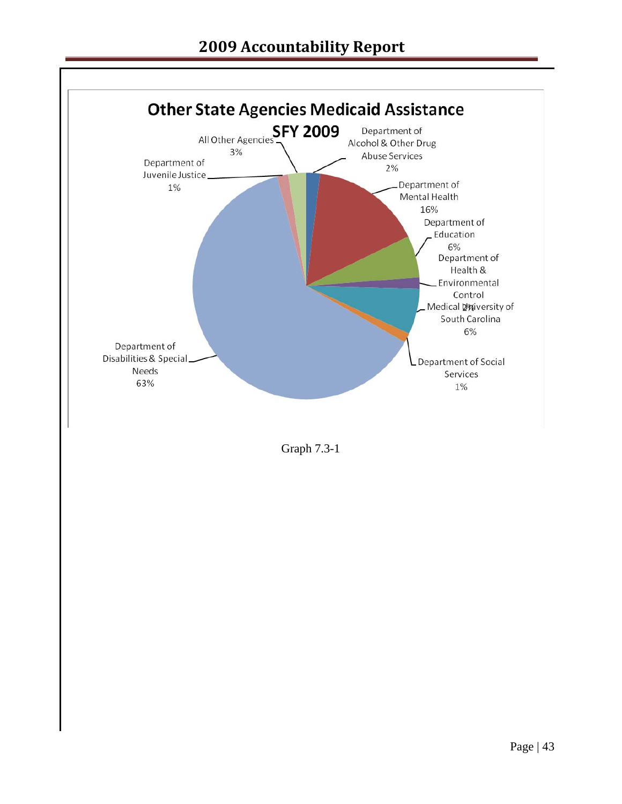# **2009 Accountability Report**



Graph 7.3-1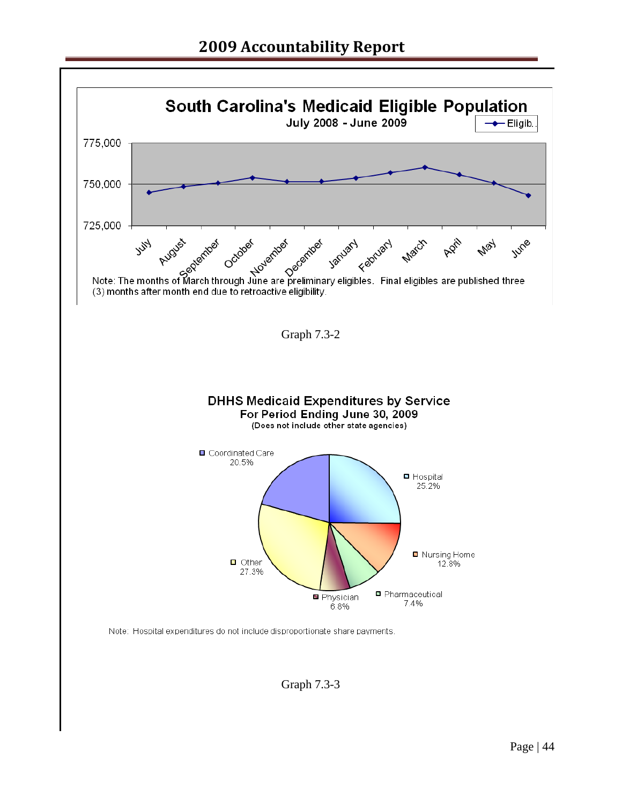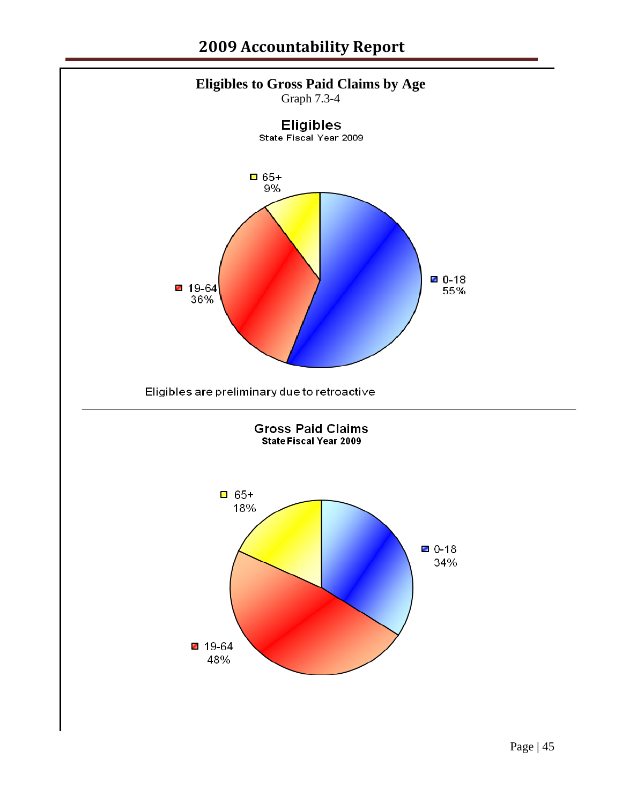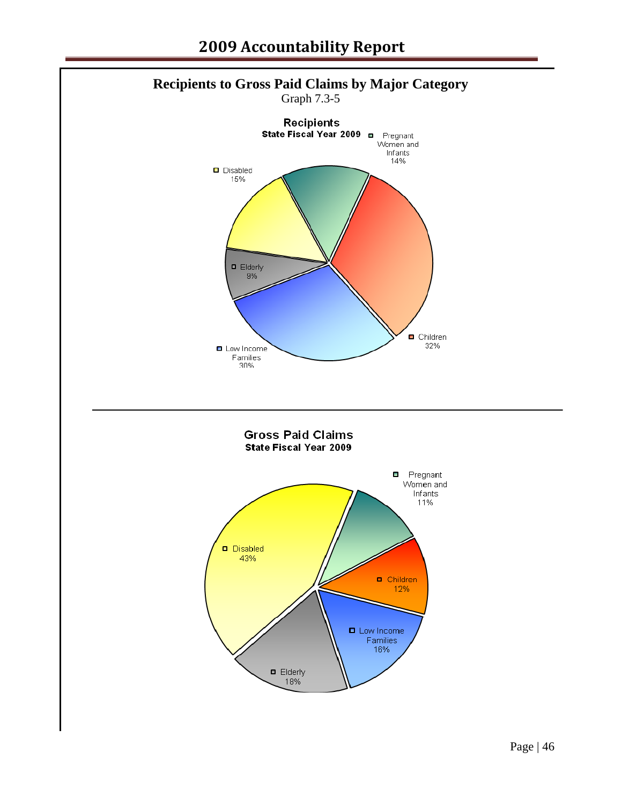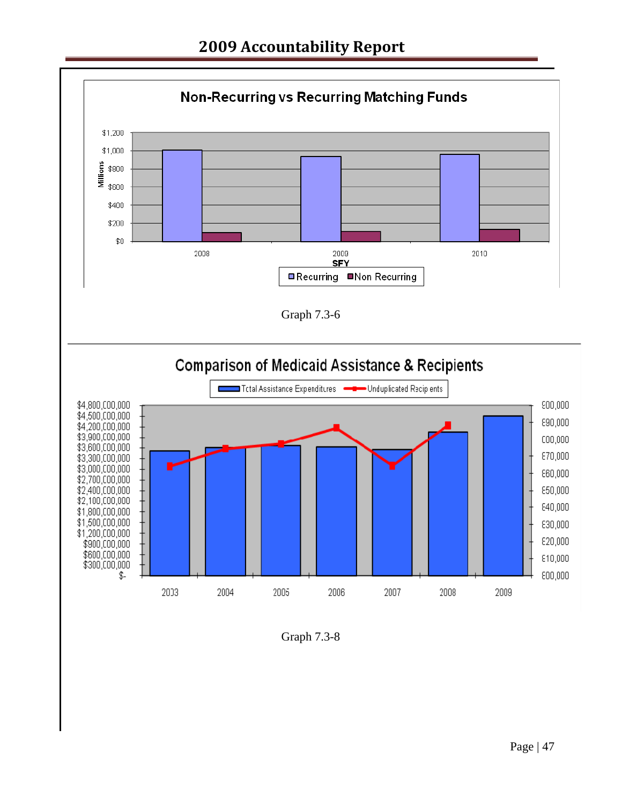

Graph 7.3-8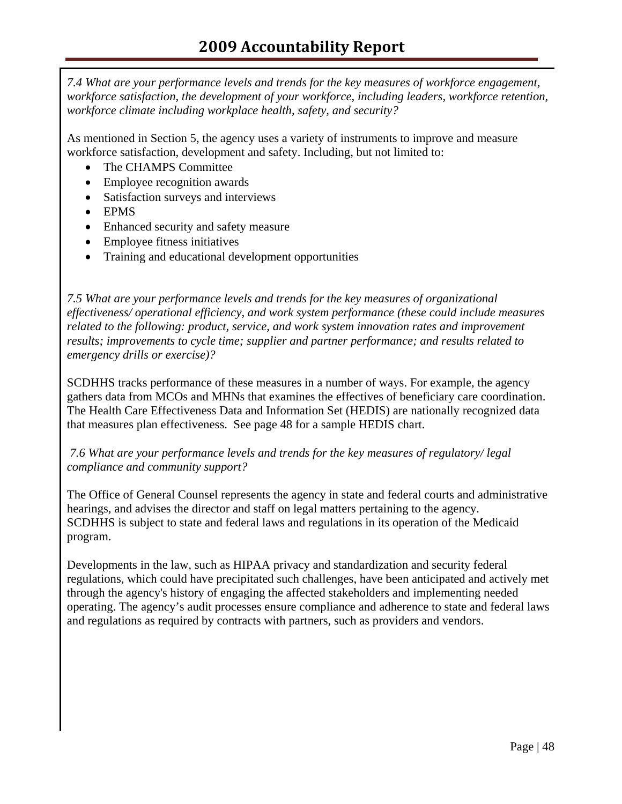*7.4 What are your performance levels and trends for the key measures of workforce engagement, workforce satisfaction, the development of your workforce, including leaders, workforce retention, workforce climate including workplace health, safety, and security?*

As mentioned in Section 5, the agency uses a variety of instruments to improve and measure workforce satisfaction, development and safety. Including, but not limited to:

- The CHAMPS Committee
- Employee recognition awards
- Satisfaction surveys and interviews
- EPMS
- Enhanced security and safety measure
- Employee fitness initiatives
- Training and educational development opportunities

*7.5 What are your performance levels and trends for the key measures of organizational effectiveness/ operational efficiency, and work system performance (these could include measures related to the following: product, service, and work system innovation rates and improvement results; improvements to cycle time; supplier and partner performance; and results related to emergency drills or exercise)?*

SCDHHS tracks performance of these measures in a number of ways. For example, the agency gathers data from MCOs and MHNs that examines the effectives of beneficiary care coordination. The Health Care Effectiveness Data and Information Set (HEDIS) are nationally recognized data that measures plan effectiveness. See page 48 for a sample HEDIS chart.

 *7.6 What are your performance levels and trends for the key measures of regulatory/ legal compliance and community support?* 

The Office of General Counsel represents the agency in state and federal courts and administrative hearings, and advises the director and staff on legal matters pertaining to the agency. SCDHHS is subject to state and federal laws and regulations in its operation of the Medicaid program.

Developments in the law, such as HIPAA privacy and standardization and security federal regulations, which could have precipitated such challenges, have been anticipated and actively met through the agency's history of engaging the affected stakeholders and implementing needed operating. The agency's audit processes ensure compliance and adherence to state and federal laws and regulations as required by contracts with partners, such as providers and vendors.